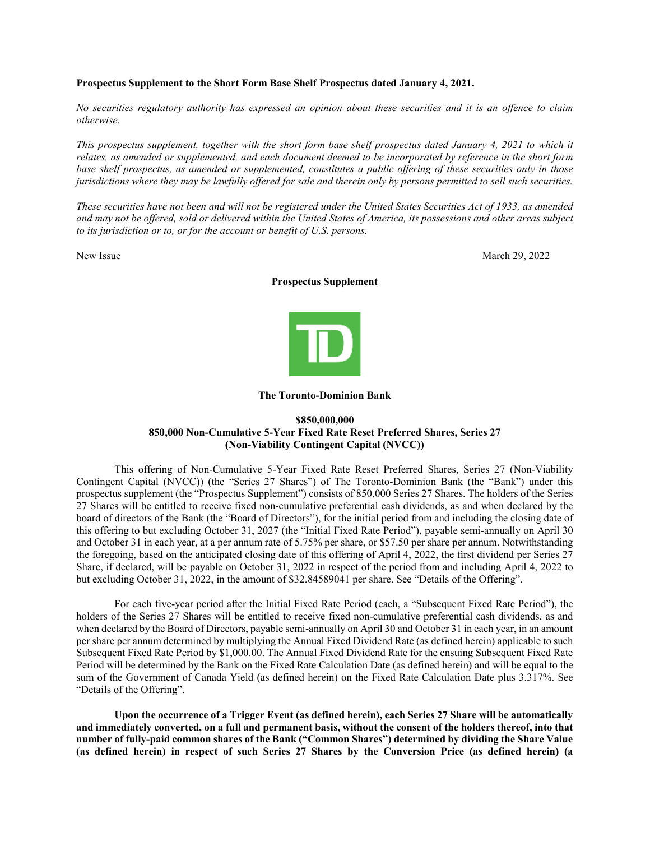#### **Prospectus Supplement to the Short Form Base Shelf Prospectus dated January 4, 2021.**

*No securities regulatory authority has expressed an opinion about these securities and it is an offence to claim otherwise.*

*This prospectus supplement, together with the short form base shelf prospectus dated January 4, 2021 to which it relates, as amended or supplemented, and each document deemed to be incorporated by reference in the short form base shelf prospectus, as amended or supplemented, constitutes a public offering of these securities only in those jurisdictions where they may be lawfully offered for sale and therein only by persons permitted to sell such securities.*

*These securities have not been and will not be registered under the United States Securities Act of 1933, as amended and may not be offered, sold or delivered within the United States of America, its possessions and other areas subject to its jurisdiction or to, or for the account or benefit of U.S. persons.*

New Issue March 29, 2022

#### **Prospectus Supplement**



#### **The Toronto-Dominion Bank**

# **\$850,000,000 850,000 Non-Cumulative 5-Year Fixed Rate Reset Preferred Shares, Series 27 (Non-Viability Contingent Capital (NVCC))**

This offering of Non-Cumulative 5-Year Fixed Rate Reset Preferred Shares, Series 27 (Non-Viability Contingent Capital (NVCC)) (the "Series 27 Shares") of The Toronto-Dominion Bank (the "Bank") under this prospectus supplement (the "Prospectus Supplement") consists of 850,000 Series 27 Shares. The holders of the Series 27 Shares will be entitled to receive fixed non-cumulative preferential cash dividends, as and when declared by the board of directors of the Bank (the "Board of Directors"), for the initial period from and including the closing date of this offering to but excluding October 31, 2027 (the "Initial Fixed Rate Period"), payable semi-annually on April 30 and October 31 in each year, at a per annum rate of 5.75% per share, or \$57.50 per share per annum. Notwithstanding the foregoing, based on the anticipated closing date of this offering of April 4, 2022, the first dividend per Series 27 Share, if declared, will be payable on October 31, 2022 in respect of the period from and including April 4, 2022 to but excluding October 31, 2022, in the amount of \$32.84589041 per share. See "Details of the Offering".

For each five-year period after the Initial Fixed Rate Period (each, a "Subsequent Fixed Rate Period"), the holders of the Series 27 Shares will be entitled to receive fixed non-cumulative preferential cash dividends, as and when declared by the Board of Directors, payable semi-annually on April 30 and October 31 in each year, in an amount per share per annum determined by multiplying the Annual Fixed Dividend Rate (as defined herein) applicable to such Subsequent Fixed Rate Period by \$1,000.00. The Annual Fixed Dividend Rate for the ensuing Subsequent Fixed Rate Period will be determined by the Bank on the Fixed Rate Calculation Date (as defined herein) and will be equal to the sum of the Government of Canada Yield (as defined herein) on the Fixed Rate Calculation Date plus 3.317%. See "Details of the Offering".

**Upon the occurrence of a Trigger Event (as defined herein), each Series 27 Share will be automatically and immediately converted, on a full and permanent basis, without the consent of the holders thereof, into that number of fully-paid common shares of the Bank ("Common Shares") determined by dividing the Share Value (as defined herein) in respect of such Series 27 Shares by the Conversion Price (as defined herein) (a**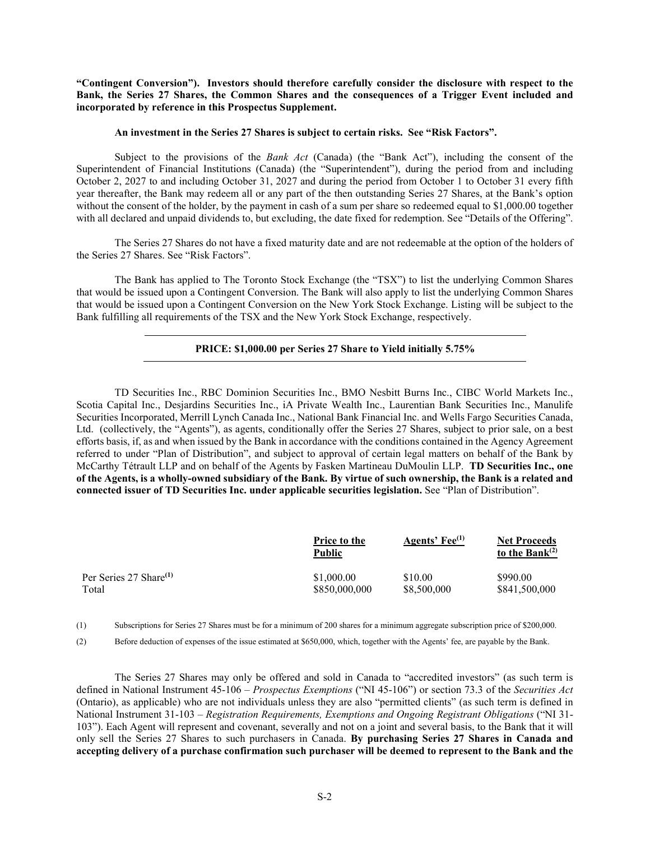**"Contingent Conversion"). Investors should therefore carefully consider the disclosure with respect to the Bank, the Series 27 Shares, the Common Shares and the consequences of a Trigger Event included and incorporated by reference in this Prospectus Supplement.** 

#### **An investment in the Series 27 Shares is subject to certain risks. See "Risk Factors".**

Subject to the provisions of the *Bank Act* (Canada) (the "Bank Act"), including the consent of the Superintendent of Financial Institutions (Canada) (the "Superintendent"), during the period from and including October 2, 2027 to and including October 31, 2027 and during the period from October 1 to October 31 every fifth year thereafter, the Bank may redeem all or any part of the then outstanding Series 27 Shares, at the Bank's option without the consent of the holder, by the payment in cash of a sum per share so redeemed equal to \$1,000.00 together with all declared and unpaid dividends to, but excluding, the date fixed for redemption. See "Details of the Offering".

The Series 27 Shares do not have a fixed maturity date and are not redeemable at the option of the holders of the Series 27 Shares. See "Risk Factors".

The Bank has applied to The Toronto Stock Exchange (the "TSX") to list the underlying Common Shares that would be issued upon a Contingent Conversion. The Bank will also apply to list the underlying Common Shares that would be issued upon a Contingent Conversion on the New York Stock Exchange. Listing will be subject to the Bank fulfilling all requirements of the TSX and the New York Stock Exchange, respectively.

#### **PRICE: \$1,000.00 per Series 27 Share to Yield initially 5.75%**

TD Securities Inc., RBC Dominion Securities Inc., BMO Nesbitt Burns Inc., CIBC World Markets Inc., Scotia Capital Inc., Desjardins Securities Inc., iA Private Wealth Inc., Laurentian Bank Securities Inc., Manulife Securities Incorporated, Merrill Lynch Canada Inc., National Bank Financial Inc. and Wells Fargo Securities Canada, Ltd. (collectively, the "Agents"), as agents, conditionally offer the Series 27 Shares, subject to prior sale, on a best efforts basis, if, as and when issued by the Bank in accordance with the conditions contained in the Agency Agreement referred to under "Plan of Distribution", and subject to approval of certain legal matters on behalf of the Bank by McCarthy Tétrault LLP and on behalf of the Agents by Fasken Martineau DuMoulin LLP. **TD Securities Inc., one of the Agents, is a wholly-owned subsidiary of the Bank. By virtue of such ownership, the Bank is a related and connected issuer of TD Securities Inc. under applicable securities legislation.** See "Plan of Distribution".

|                                    | <b>Price to the</b><br>Public | Agents' Fee <sup>(1)</sup> | <b>Net Proceeds</b><br>to the Bank $(2)$ |
|------------------------------------|-------------------------------|----------------------------|------------------------------------------|
| Per Series 27 Share <sup>(1)</sup> | \$1,000.00                    | \$10.00                    | \$990.00                                 |
| Total                              | \$850,000,000                 | \$8,500,000                | \$841,500,000                            |

(1) Subscriptions for Series 27 Shares must be for a minimum of 200 shares for a minimum aggregate subscription price of \$200,000.

(2) Before deduction of expenses of the issue estimated at \$650,000, which, together with the Agents' fee, are payable by the Bank.

The Series 27 Shares may only be offered and sold in Canada to "accredited investors" (as such term is defined in National Instrument 45-106 – *Prospectus Exemptions* ("NI 45-106") or section 73.3 of the *Securities Act* (Ontario), as applicable) who are not individuals unless they are also "permitted clients" (as such term is defined in National Instrument 31-103 – *Registration Requirements, Exemptions and Ongoing Registrant Obligations* ("NI 31- 103"). Each Agent will represent and covenant, severally and not on a joint and several basis, to the Bank that it will only sell the Series 27 Shares to such purchasers in Canada. **By purchasing Series 27 Shares in Canada and accepting delivery of a purchase confirmation such purchaser will be deemed to represent to the Bank and the**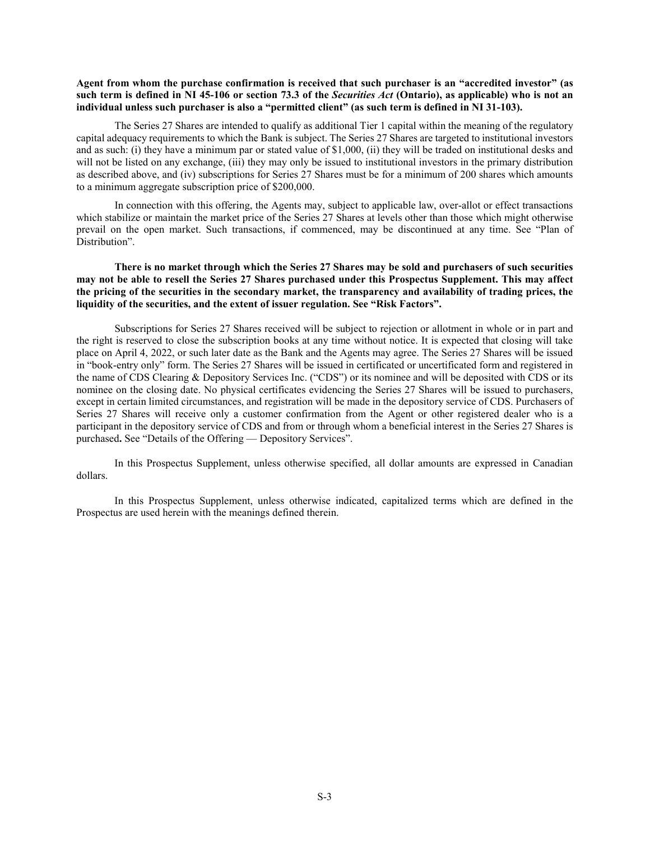# **Agent from whom the purchase confirmation is received that such purchaser is an "accredited investor" (as such term is defined in NI 45-106 or section 73.3 of the** *Securities Act* **(Ontario), as applicable) who is not an individual unless such purchaser is also a "permitted client" (as such term is defined in NI 31-103).**

The Series 27 Shares are intended to qualify as additional Tier 1 capital within the meaning of the regulatory capital adequacy requirements to which the Bank is subject. The Series 27 Shares are targeted to institutional investors and as such: (i) they have a minimum par or stated value of \$1,000, (ii) they will be traded on institutional desks and will not be listed on any exchange, (iii) they may only be issued to institutional investors in the primary distribution as described above, and (iv) subscriptions for Series 27 Shares must be for a minimum of 200 shares which amounts to a minimum aggregate subscription price of \$200,000.

In connection with this offering, the Agents may, subject to applicable law, over-allot or effect transactions which stabilize or maintain the market price of the Series 27 Shares at levels other than those which might otherwise prevail on the open market. Such transactions, if commenced, may be discontinued at any time. See "Plan of Distribution".

## **There is no market through which the Series 27 Shares may be sold and purchasers of such securities may not be able to resell the Series 27 Shares purchased under this Prospectus Supplement. This may affect the pricing of the securities in the secondary market, the transparency and availability of trading prices, the liquidity of the securities, and the extent of issuer regulation. See "Risk Factors".**

Subscriptions for Series 27 Shares received will be subject to rejection or allotment in whole or in part and the right is reserved to close the subscription books at any time without notice. It is expected that closing will take place on April 4, 2022, or such later date as the Bank and the Agents may agree. The Series 27 Shares will be issued in "book-entry only" form. The Series 27 Shares will be issued in certificated or uncertificated form and registered in the name of CDS Clearing & Depository Services Inc. ("CDS") or its nominee and will be deposited with CDS or its nominee on the closing date. No physical certificates evidencing the Series 27 Shares will be issued to purchasers, except in certain limited circumstances, and registration will be made in the depository service of CDS. Purchasers of Series 27 Shares will receive only a customer confirmation from the Agent or other registered dealer who is a participant in the depository service of CDS and from or through whom a beneficial interest in the Series 27 Shares is purchased**.** See "Details of the Offering — Depository Services".

In this Prospectus Supplement, unless otherwise specified, all dollar amounts are expressed in Canadian dollars.

In this Prospectus Supplement, unless otherwise indicated, capitalized terms which are defined in the Prospectus are used herein with the meanings defined therein.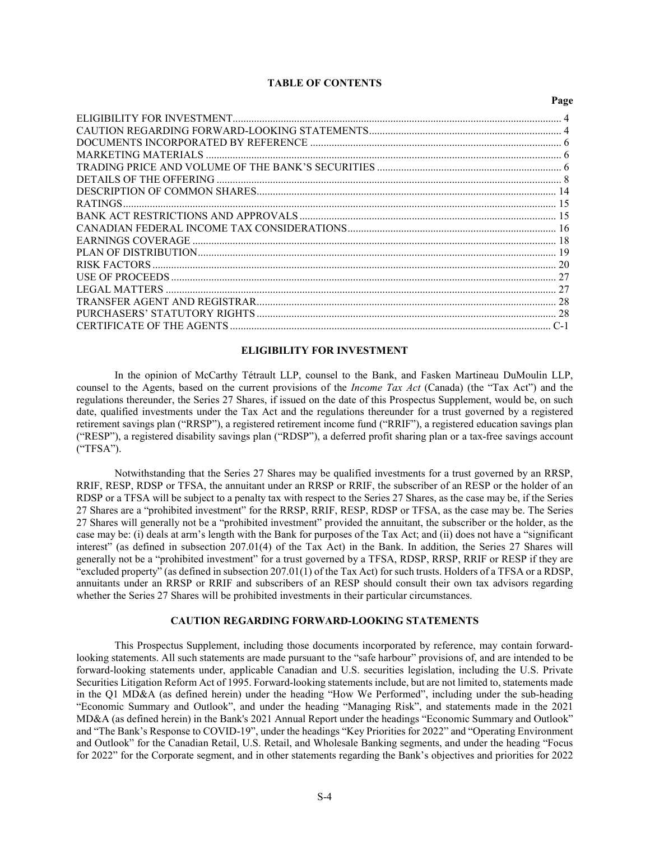# **TABLE OF CONTENTS**

 $P_{\alpha\alpha\alpha}$ 

# **ELIGIBILITY FOR INVESTMENT**

<span id="page-3-0"></span>In the opinion of McCarthy Tétrault LLP, counsel to the Bank, and Fasken Martineau DuMoulin LLP, counsel to the Agents, based on the current provisions of the *Income Tax Act* (Canada) (the "Tax Act") and the regulations thereunder, the Series 27 Shares, if issued on the date of this Prospectus Supplement, would be, on such date, qualified investments under the Tax Act and the regulations thereunder for a trust governed by a registered retirement savings plan ("RRSP"), a registered retirement income fund ("RRIF"), a registered education savings plan ("RESP"), a registered disability savings plan ("RDSP"), a deferred profit sharing plan or a tax-free savings account ("TFSA").

Notwithstanding that the Series 27 Shares may be qualified investments for a trust governed by an RRSP, RRIF, RESP, RDSP or TFSA, the annuitant under an RRSP or RRIF, the subscriber of an RESP or the holder of an RDSP or a TFSA will be subject to a penalty tax with respect to the Series 27 Shares, as the case may be, if the Series 27 Shares are a "prohibited investment" for the RRSP, RRIF, RESP, RDSP or TFSA, as the case may be. The Series 27 Shares will generally not be a "prohibited investment" provided the annuitant, the subscriber or the holder, as the case may be: (i) deals at arm's length with the Bank for purposes of the Tax Act; and (ii) does not have a "significant interest" (as defined in subsection 207.01(4) of the Tax Act) in the Bank. In addition, the Series 27 Shares will generally not be a "prohibited investment" for a trust governed by a TFSA, RDSP, RRSP, RRIF or RESP if they are "excluded property" (as defined in subsection 207.01(1) of the Tax Act) for such trusts. Holders of a TFSA or a RDSP, annuitants under an RRSP or RRIF and subscribers of an RESP should consult their own tax advisors regarding whether the Series 27 Shares will be prohibited investments in their particular circumstances.

# **CAUTION REGARDING FORWARD-LOOKING STATEMENTS**

<span id="page-3-1"></span>This Prospectus Supplement, including those documents incorporated by reference, may contain forwardlooking statements. All such statements are made pursuant to the "safe harbour" provisions of, and are intended to be forward-looking statements under, applicable Canadian and U.S. securities legislation, including the U.S. Private Securities Litigation Reform Act of 1995. Forward-looking statements include, but are not limited to, statements made in the Q1 MD&A (as defined herein) under the heading "How We Performed", including under the sub-heading "Economic Summary and Outlook", and under the heading "Managing Risk", and statements made in the 2021 MD&A (as defined herein) in the Bank's 2021 Annual Report under the headings "Economic Summary and Outlook" and "The Bank's Response to COVID-19", under the headings "Key Priorities for 2022" and "Operating Environment and Outlook" for the Canadian Retail, U.S. Retail, and Wholesale Banking segments, and under the heading "Focus for 2022" for the Corporate segment, and in other statements regarding the Bank's objectives and priorities for 2022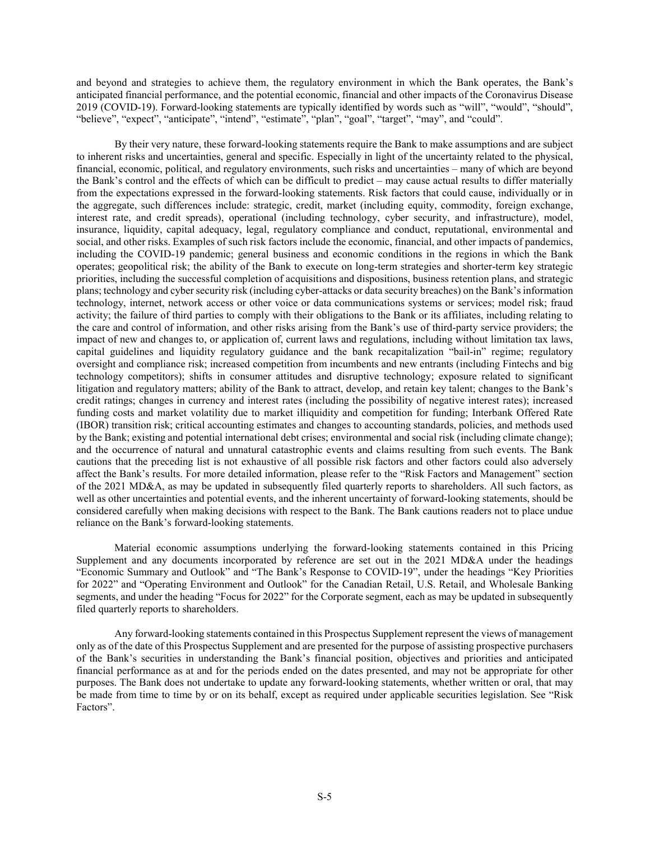and beyond and strategies to achieve them, the regulatory environment in which the Bank operates, the Bank's anticipated financial performance, and the potential economic, financial and other impacts of the Coronavirus Disease 2019 (COVID-19). Forward-looking statements are typically identified by words such as "will", "would", "should", "believe", "expect", "anticipate", "intend", "estimate", "plan", "goal", "target", "may", and "could".

By their very nature, these forward-looking statements require the Bank to make assumptions and are subject to inherent risks and uncertainties, general and specific. Especially in light of the uncertainty related to the physical, financial, economic, political, and regulatory environments, such risks and uncertainties – many of which are beyond the Bank's control and the effects of which can be difficult to predict – may cause actual results to differ materially from the expectations expressed in the forward-looking statements. Risk factors that could cause, individually or in the aggregate, such differences include: strategic, credit, market (including equity, commodity, foreign exchange, interest rate, and credit spreads), operational (including technology, cyber security, and infrastructure), model, insurance, liquidity, capital adequacy, legal, regulatory compliance and conduct, reputational, environmental and social, and other risks. Examples of such risk factors include the economic, financial, and other impacts of pandemics, including the COVID-19 pandemic; general business and economic conditions in the regions in which the Bank operates; geopolitical risk; the ability of the Bank to execute on long-term strategies and shorter-term key strategic priorities, including the successful completion of acquisitions and dispositions, business retention plans, and strategic plans; technology and cyber security risk (including cyber-attacks or data security breaches) on the Bank's information technology, internet, network access or other voice or data communications systems or services; model risk; fraud activity; the failure of third parties to comply with their obligations to the Bank or its affiliates, including relating to the care and control of information, and other risks arising from the Bank's use of third-party service providers; the impact of new and changes to, or application of, current laws and regulations, including without limitation tax laws, capital guidelines and liquidity regulatory guidance and the bank recapitalization "bail-in" regime; regulatory oversight and compliance risk; increased competition from incumbents and new entrants (including Fintechs and big technology competitors); shifts in consumer attitudes and disruptive technology; exposure related to significant litigation and regulatory matters; ability of the Bank to attract, develop, and retain key talent; changes to the Bank's credit ratings; changes in currency and interest rates (including the possibility of negative interest rates); increased funding costs and market volatility due to market illiquidity and competition for funding; Interbank Offered Rate (IBOR) transition risk; critical accounting estimates and changes to accounting standards, policies, and methods used by the Bank; existing and potential international debt crises; environmental and social risk (including climate change); and the occurrence of natural and unnatural catastrophic events and claims resulting from such events. The Bank cautions that the preceding list is not exhaustive of all possible risk factors and other factors could also adversely affect the Bank's results. For more detailed information, please refer to the "Risk Factors and Management" section of the 2021 MD&A, as may be updated in subsequently filed quarterly reports to shareholders. All such factors, as well as other uncertainties and potential events, and the inherent uncertainty of forward-looking statements, should be considered carefully when making decisions with respect to the Bank. The Bank cautions readers not to place undue reliance on the Bank's forward-looking statements.

Material economic assumptions underlying the forward-looking statements contained in this Pricing Supplement and any documents incorporated by reference are set out in the 2021 MD&A under the headings "Economic Summary and Outlook" and "The Bank's Response to COVID-19", under the headings "Key Priorities for 2022" and "Operating Environment and Outlook" for the Canadian Retail, U.S. Retail, and Wholesale Banking segments, and under the heading "Focus for 2022" for the Corporate segment, each as may be updated in subsequently filed quarterly reports to shareholders.

Any forward-looking statements contained in this Prospectus Supplement represent the views of management only as of the date of this Prospectus Supplement and are presented for the purpose of assisting prospective purchasers of the Bank's securities in understanding the Bank's financial position, objectives and priorities and anticipated financial performance as at and for the periods ended on the dates presented, and may not be appropriate for other purposes. The Bank does not undertake to update any forward-looking statements, whether written or oral, that may be made from time to time by or on its behalf, except as required under applicable securities legislation. See "Risk Factors".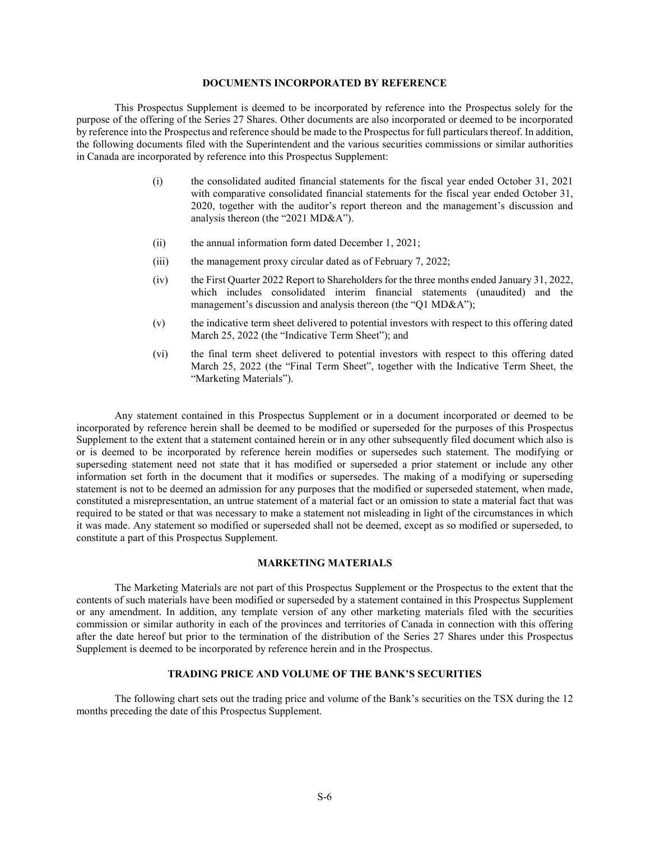#### **DOCUMENTS INCORPORATED BY REFERENCE**

<span id="page-5-0"></span>This Prospectus Supplement is deemed to be incorporated by reference into the Prospectus solely for the purpose of the offering of the Series 27 Shares. Other documents are also incorporated or deemed to be incorporated by reference into the Prospectus and reference should be made to the Prospectus for full particulars thereof. In addition, the following documents filed with the Superintendent and the various securities commissions or similar authorities in Canada are incorporated by reference into this Prospectus Supplement:

- (i) the consolidated audited financial statements for the fiscal year ended October 31, 2021 with comparative consolidated financial statements for the fiscal year ended October 31, 2020, together with the auditor's report thereon and the management's discussion and analysis thereon (the "2021 MD&A").
- (ii) the annual information form dated December 1, 2021;
- (iii) the management proxy circular dated as of February 7, 2022;
- (iv) the First Quarter 2022 Report to Shareholders for the three months ended January 31, 2022, which includes consolidated interim financial statements (unaudited) and the management's discussion and analysis thereon (the "Q1 MD&A");
- (v) the indicative term sheet delivered to potential investors with respect to this offering dated March 25, 2022 (the "Indicative Term Sheet"); and
- (vi) the final term sheet delivered to potential investors with respect to this offering dated March 25, 2022 (the "Final Term Sheet", together with the Indicative Term Sheet, the "Marketing Materials").

Any statement contained in this Prospectus Supplement or in a document incorporated or deemed to be incorporated by reference herein shall be deemed to be modified or superseded for the purposes of this Prospectus Supplement to the extent that a statement contained herein or in any other subsequently filed document which also is or is deemed to be incorporated by reference herein modifies or supersedes such statement. The modifying or superseding statement need not state that it has modified or superseded a prior statement or include any other information set forth in the document that it modifies or supersedes. The making of a modifying or superseding statement is not to be deemed an admission for any purposes that the modified or superseded statement, when made, constituted a misrepresentation, an untrue statement of a material fact or an omission to state a material fact that was required to be stated or that was necessary to make a statement not misleading in light of the circumstances in which it was made. Any statement so modified or superseded shall not be deemed, except as so modified or superseded, to constitute a part of this Prospectus Supplement.

#### **MARKETING MATERIALS**

<span id="page-5-1"></span>The Marketing Materials are not part of this Prospectus Supplement or the Prospectus to the extent that the contents of such materials have been modified or superseded by a statement contained in this Prospectus Supplement or any amendment. In addition, any template version of any other marketing materials filed with the securities commission or similar authority in each of the provinces and territories of Canada in connection with this offering after the date hereof but prior to the termination of the distribution of the Series 27 Shares under this Prospectus Supplement is deemed to be incorporated by reference herein and in the Prospectus.

# **TRADING PRICE AND VOLUME OF THE BANK'S SECURITIES**

<span id="page-5-2"></span>The following chart sets out the trading price and volume of the Bank's securities on the TSX during the 12 months preceding the date of this Prospectus Supplement.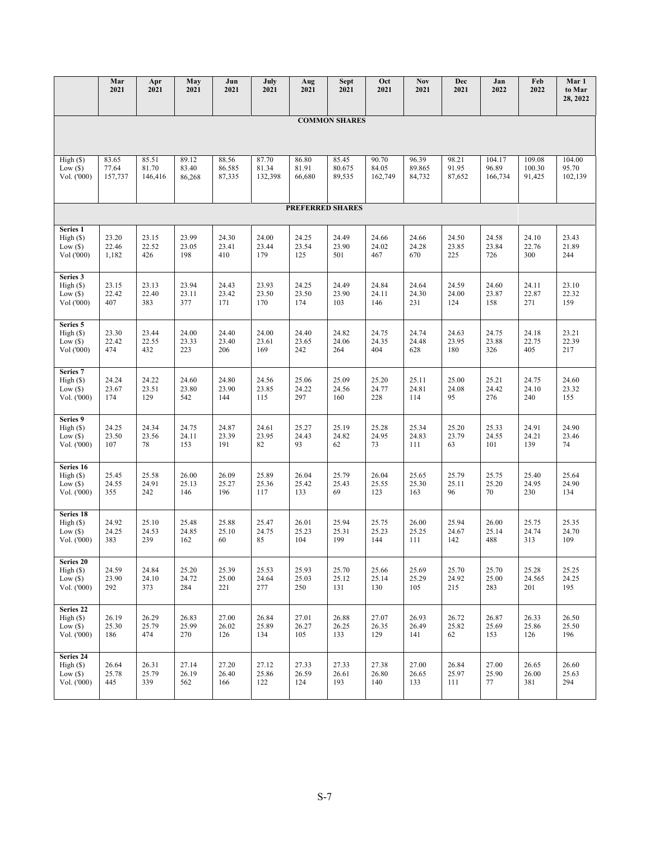|                                                   | Mar<br>2021               | Apr<br>2021               | May<br>2021              | Jun<br>2021               | July<br>2021              | Aug<br>2021              | <b>Sept</b><br>2021       | Oct<br>2021               | <b>Nov</b><br>2021        | Dec<br>2021              | Jan<br>2022                | Feb<br>2022                | Mar 1<br>to Mar<br>28, 2022 |
|---------------------------------------------------|---------------------------|---------------------------|--------------------------|---------------------------|---------------------------|--------------------------|---------------------------|---------------------------|---------------------------|--------------------------|----------------------------|----------------------------|-----------------------------|
|                                                   |                           |                           |                          |                           |                           |                          |                           |                           |                           |                          |                            |                            |                             |
| <b>COMMON SHARES</b>                              |                           |                           |                          |                           |                           |                          |                           |                           |                           |                          |                            |                            |                             |
| High(S)<br>Low(S)<br>Vol. ('000)                  | 83.65<br>77.64<br>157,737 | 85.51<br>81.70<br>146,416 | 89.12<br>83.40<br>86,268 | 88.56<br>86.585<br>87,335 | 87.70<br>81.34<br>132,398 | 86.80<br>81.91<br>66,680 | 85.45<br>80.675<br>89,535 | 90.70<br>84.05<br>162,749 | 96.39<br>89.865<br>84,732 | 98.21<br>91.95<br>87,652 | 104.17<br>96.89<br>166,734 | 109.08<br>100.30<br>91,425 | 104.00<br>95.70<br>102,139  |
|                                                   |                           |                           |                          |                           |                           | <b>PREFERRED SHARES</b>  |                           |                           |                           |                          |                            |                            |                             |
| Series 1<br>High(S)<br>Low $(\$)$<br>Vol ('000)   | 23.20<br>22.46<br>1,182   | 23.15<br>22.52<br>426     | 23.99<br>23.05<br>198    | 24.30<br>23.41<br>410     | 24.00<br>23.44<br>179     | 24.25<br>23.54<br>125    | 24.49<br>23.90<br>501     | 24.66<br>24.02<br>467     | 24.66<br>24.28<br>670     | 24.50<br>23.85<br>225    | 24.58<br>23.84<br>726      | 24.10<br>22.76<br>300      | 23.43<br>21.89<br>244       |
| Series 3<br>High(S)<br>Low(S)<br>Vol ('000)       | 23.15<br>22.42<br>407     | 23.13<br>22.40<br>383     | 23.94<br>23.11<br>377    | 24.43<br>23.42<br>171     | 23.93<br>23.50<br>170     | 24.25<br>23.50<br>174    | 24.49<br>23.90<br>103     | 24.84<br>24.11<br>146     | 24.64<br>24.30<br>231     | 24.59<br>24.00<br>124    | 24.60<br>23.87<br>158      | 24.11<br>22.87<br>271      | 23.10<br>22.32<br>159       |
| Series 5<br>High (S)<br>Low $(\$)$<br>Vol ('000)  | 23.30<br>22.42<br>474     | 23.44<br>22.55<br>432     | 24.00<br>23.33<br>223    | 24.40<br>23.40<br>206     | 24.00<br>23.61<br>169     | 24.40<br>23.65<br>242    | 24.82<br>24.06<br>264     | 24.75<br>24.35<br>404     | 24.74<br>24.48<br>628     | 24.63<br>23.95<br>180    | 24.75<br>23.88<br>326      | 24.18<br>22.75<br>405      | 23.21<br>22.39<br>217       |
| Series 7<br>High(S)<br>Low $(\$)$<br>Vol. ('000)  | 24.24<br>23.67<br>174     | 24.22<br>23.51<br>129     | 24.60<br>23.80<br>542    | 24.80<br>23.90<br>144     | 24.56<br>23.85<br>115     | 25.06<br>24.22<br>297    | 25.09<br>24.56<br>160     | 25.20<br>24.77<br>228     | 25.11<br>24.81<br>114     | 25.00<br>24.08<br>95     | 25.21<br>24.42<br>276      | 24.75<br>24.10<br>240      | 24.60<br>23.32<br>155       |
| Series 9<br>High(S)<br>Low $(\$)$<br>Vol. ('000)  | 24.25<br>23.50<br>107     | 24.34<br>23.56<br>78      | 24.75<br>24.11<br>153    | 24.87<br>23.39<br>191     | 24.61<br>23.95<br>82      | 25.27<br>24.43<br>93     | 25.19<br>24.82<br>62      | 25.28<br>24.95<br>73      | 25.34<br>24.83<br>111     | 25.20<br>23.79<br>63     | 25.33<br>24.55<br>101      | 24.91<br>24.21<br>139      | 24.90<br>23.46<br>74        |
| Series 16<br>High(S)<br>Low $(\$)$<br>Vol. ('000) | 25.45<br>24.55<br>355     | 25.58<br>24.91<br>242     | 26.00<br>25.13<br>146    | 26.09<br>25.27<br>196     | 25.89<br>25.36<br>117     | 26.04<br>25.42<br>133    | 25.79<br>25.43<br>69      | 26.04<br>25.55<br>123     | 25.65<br>25.30<br>163     | 25.79<br>25.11<br>96     | 25.75<br>25.20<br>70       | 25.40<br>24.95<br>230      | 25.64<br>24.90<br>134       |
| Series 18<br>High(S)<br>Low $(\$)$<br>Vol. ('000) | 24.92<br>24.25<br>383     | 25.10<br>24.53<br>239     | 25.48<br>24.85<br>162    | 25.88<br>25.10<br>60      | 25.47<br>24.75<br>85      | 26.01<br>25.23<br>104    | 25.94<br>25.31<br>199     | 25.75<br>25.23<br>144     | 26.00<br>25.25<br>111     | 25.94<br>24.67<br>142    | 26.00<br>25.14<br>488      | 25.75<br>24.74<br>313      | 25.35<br>24.70<br>109       |
| Series 20<br>High(S)<br>Low $(\$)$<br>Vol. ('000) | 24.59<br>23.90<br>292     | 24.84<br>24.10<br>373     | 25.20<br>24.72<br>284    | 25.39<br>25.00<br>221     | 25.53<br>24.64<br>277     | 25.93<br>25.03<br>250    | 25.70<br>25.12<br>131     | 25.66<br>25.14<br>130     | 25.69<br>25.29<br>105     | 25.70<br>24.92<br>215    | 25.70<br>25.00<br>283      | 25.28<br>24.565<br>201     | 25.25<br>24.25<br>195       |
| Series 22<br>High(S)<br>Low $(\$)$<br>Vol. ('000) | 26.19<br>25.30<br>186     | 26.29<br>25.79<br>474     | 26.83<br>25.99<br>270    | 27.00<br>26.02<br>126     | 26.84<br>25.89<br>134     | 27.01<br>26.27<br>105    | 26.88<br>26.25<br>133     | 27.07<br>26.35<br>129     | 26.93<br>26.49<br>141     | 26.72<br>25.82<br>62     | 26.87<br>25.69<br>153      | 26.33<br>25.86<br>126      | 26.50<br>25.50<br>196       |
| Series 24<br>High(S)<br>Low $(\$)$<br>Vol. ('000) | 26.64<br>25.78<br>445     | 26.31<br>25.79<br>339     | 27.14<br>26.19<br>562    | 27.20<br>26.40<br>166     | 27.12<br>25.86<br>122     | 27.33<br>26.59<br>124    | 27.33<br>26.61<br>193     | 27.38<br>26.80<br>140     | 27.00<br>26.65<br>133     | 26.84<br>25.97<br>111    | 27.00<br>25.90<br>77       | 26.65<br>26.00<br>381      | 26.60<br>25.63<br>294       |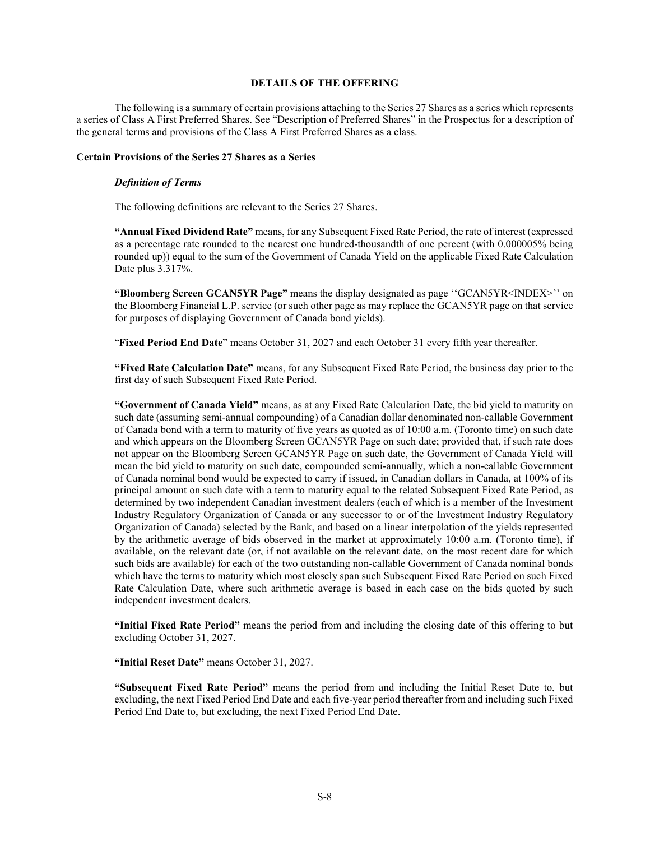# **DETAILS OF THE OFFERING**

<span id="page-7-0"></span>The following is a summary of certain provisions attaching to the Series 27 Shares as a series which represents a series of Class A First Preferred Shares. See "Description of Preferred Shares" in the Prospectus for a description of the general terms and provisions of the Class A First Preferred Shares as a class.

#### **Certain Provisions of the Series 27 Shares as a Series**

#### *Definition of Terms*

The following definitions are relevant to the Series 27 Shares.

**"Annual Fixed Dividend Rate"** means, for any Subsequent Fixed Rate Period, the rate of interest (expressed as a percentage rate rounded to the nearest one hundred-thousandth of one percent (with 0.000005% being rounded up)) equal to the sum of the Government of Canada Yield on the applicable Fixed Rate Calculation Date plus 3.317%.

**"Bloomberg Screen GCAN5YR Page"** means the display designated as page ''GCAN5YR<INDEX>'' on the Bloomberg Financial L.P. service (or such other page as may replace the GCAN5YR page on that service for purposes of displaying Government of Canada bond yields).

"**Fixed Period End Date**" means October 31, 2027 and each October 31 every fifth year thereafter.

**"Fixed Rate Calculation Date"** means, for any Subsequent Fixed Rate Period, the business day prior to the first day of such Subsequent Fixed Rate Period.

**"Government of Canada Yield"** means, as at any Fixed Rate Calculation Date, the bid yield to maturity on such date (assuming semi-annual compounding) of a Canadian dollar denominated non-callable Government of Canada bond with a term to maturity of five years as quoted as of 10:00 a.m. (Toronto time) on such date and which appears on the Bloomberg Screen GCAN5YR Page on such date; provided that, if such rate does not appear on the Bloomberg Screen GCAN5YR Page on such date, the Government of Canada Yield will mean the bid yield to maturity on such date, compounded semi-annually, which a non-callable Government of Canada nominal bond would be expected to carry if issued, in Canadian dollars in Canada, at 100% of its principal amount on such date with a term to maturity equal to the related Subsequent Fixed Rate Period, as determined by two independent Canadian investment dealers (each of which is a member of the Investment Industry Regulatory Organization of Canada or any successor to or of the Investment Industry Regulatory Organization of Canada) selected by the Bank, and based on a linear interpolation of the yields represented by the arithmetic average of bids observed in the market at approximately 10:00 a.m. (Toronto time), if available, on the relevant date (or, if not available on the relevant date, on the most recent date for which such bids are available) for each of the two outstanding non-callable Government of Canada nominal bonds which have the terms to maturity which most closely span such Subsequent Fixed Rate Period on such Fixed Rate Calculation Date, where such arithmetic average is based in each case on the bids quoted by such independent investment dealers.

**"Initial Fixed Rate Period"** means the period from and including the closing date of this offering to but excluding October 31, 2027.

**"Initial Reset Date"** means October 31, 2027.

**"Subsequent Fixed Rate Period"** means the period from and including the Initial Reset Date to, but excluding, the next Fixed Period End Date and each five-year period thereafter from and including such Fixed Period End Date to, but excluding, the next Fixed Period End Date.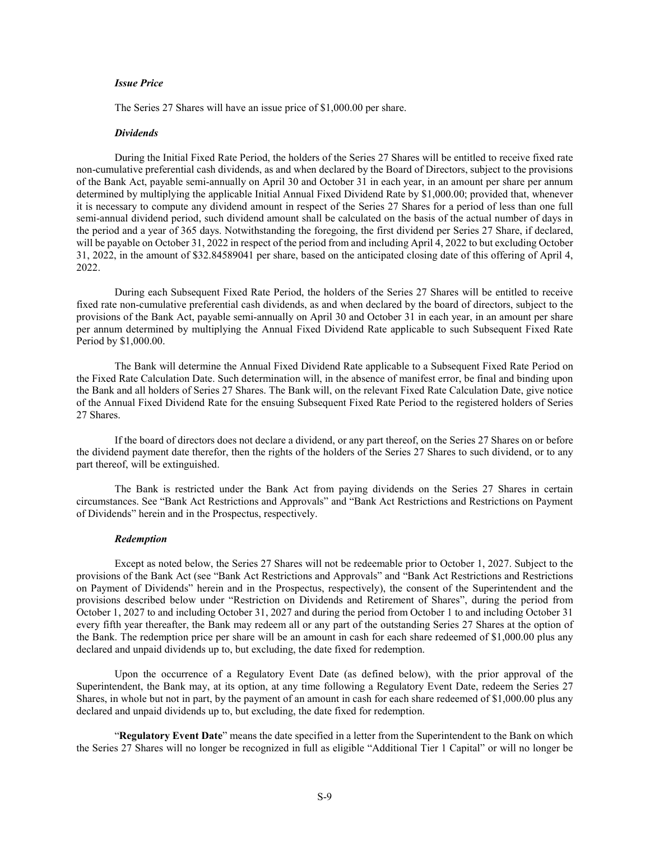# *Issue Price*

The Series 27 Shares will have an issue price of \$1,000.00 per share.

#### *Dividends*

During the Initial Fixed Rate Period, the holders of the Series 27 Shares will be entitled to receive fixed rate non-cumulative preferential cash dividends, as and when declared by the Board of Directors, subject to the provisions of the Bank Act, payable semi-annually on April 30 and October 31 in each year, in an amount per share per annum determined by multiplying the applicable Initial Annual Fixed Dividend Rate by \$1,000.00; provided that, whenever it is necessary to compute any dividend amount in respect of the Series 27 Shares for a period of less than one full semi-annual dividend period, such dividend amount shall be calculated on the basis of the actual number of days in the period and a year of 365 days. Notwithstanding the foregoing, the first dividend per Series 27 Share, if declared, will be payable on October 31, 2022 in respect of the period from and including April 4, 2022 to but excluding October 31, 2022, in the amount of \$32.84589041 per share, based on the anticipated closing date of this offering of April 4, 2022.

During each Subsequent Fixed Rate Period, the holders of the Series 27 Shares will be entitled to receive fixed rate non-cumulative preferential cash dividends, as and when declared by the board of directors, subject to the provisions of the Bank Act, payable semi-annually on April 30 and October 31 in each year, in an amount per share per annum determined by multiplying the Annual Fixed Dividend Rate applicable to such Subsequent Fixed Rate Period by \$1,000.00.

The Bank will determine the Annual Fixed Dividend Rate applicable to a Subsequent Fixed Rate Period on the Fixed Rate Calculation Date. Such determination will, in the absence of manifest error, be final and binding upon the Bank and all holders of Series 27 Shares. The Bank will, on the relevant Fixed Rate Calculation Date, give notice of the Annual Fixed Dividend Rate for the ensuing Subsequent Fixed Rate Period to the registered holders of Series 27 Shares.

If the board of directors does not declare a dividend, or any part thereof, on the Series 27 Shares on or before the dividend payment date therefor, then the rights of the holders of the Series 27 Shares to such dividend, or to any part thereof, will be extinguished.

The Bank is restricted under the Bank Act from paying dividends on the Series 27 Shares in certain circumstances. See "Bank Act Restrictions and Approvals" and "Bank Act Restrictions and Restrictions on Payment of Dividends" herein and in the Prospectus, respectively.

#### *Redemption*

Except as noted below, the Series 27 Shares will not be redeemable prior to October 1, 2027. Subject to the provisions of the Bank Act (see "Bank Act Restrictions and Approvals" and "Bank Act Restrictions and Restrictions on Payment of Dividends" herein and in the Prospectus, respectively), the consent of the Superintendent and the provisions described below under "Restriction on Dividends and Retirement of Shares", during the period from October 1, 2027 to and including October 31, 2027 and during the period from October 1 to and including October 31 every fifth year thereafter, the Bank may redeem all or any part of the outstanding Series 27 Shares at the option of the Bank. The redemption price per share will be an amount in cash for each share redeemed of \$1,000.00 plus any declared and unpaid dividends up to, but excluding, the date fixed for redemption.

Upon the occurrence of a Regulatory Event Date (as defined below), with the prior approval of the Superintendent, the Bank may, at its option, at any time following a Regulatory Event Date, redeem the Series 27 Shares, in whole but not in part, by the payment of an amount in cash for each share redeemed of \$1,000.00 plus any declared and unpaid dividends up to, but excluding, the date fixed for redemption.

"**Regulatory Event Date**" means the date specified in a letter from the Superintendent to the Bank on which the Series 27 Shares will no longer be recognized in full as eligible "Additional Tier 1 Capital" or will no longer be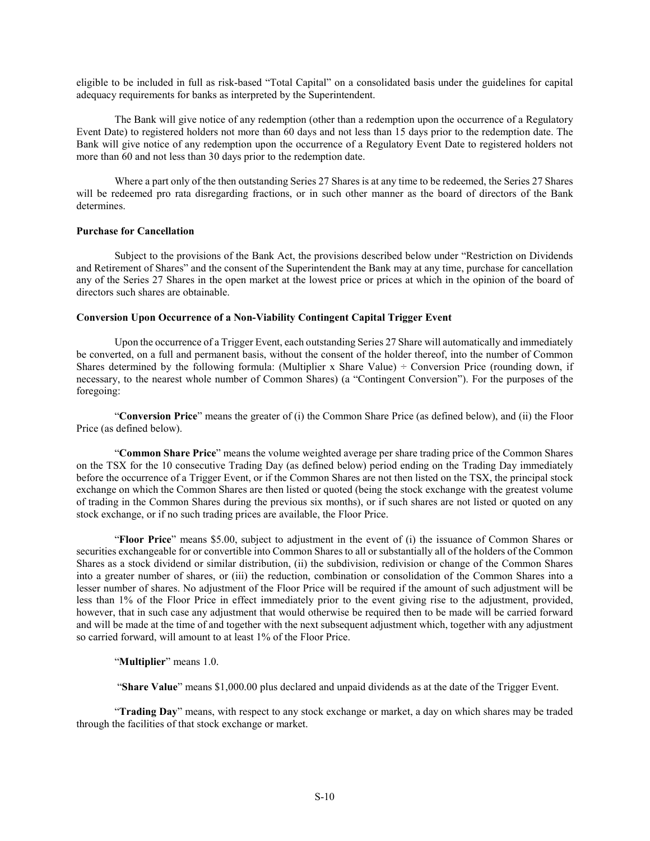eligible to be included in full as risk-based "Total Capital" on a consolidated basis under the guidelines for capital adequacy requirements for banks as interpreted by the Superintendent.

The Bank will give notice of any redemption (other than a redemption upon the occurrence of a Regulatory Event Date) to registered holders not more than 60 days and not less than 15 days prior to the redemption date. The Bank will give notice of any redemption upon the occurrence of a Regulatory Event Date to registered holders not more than 60 and not less than 30 days prior to the redemption date.

Where a part only of the then outstanding Series 27 Shares is at any time to be redeemed, the Series 27 Shares will be redeemed pro rata disregarding fractions, or in such other manner as the board of directors of the Bank determines.

## **Purchase for Cancellation**

Subject to the provisions of the Bank Act, the provisions described below under "Restriction on Dividends and Retirement of Shares" and the consent of the Superintendent the Bank may at any time, purchase for cancellation any of the Series 27 Shares in the open market at the lowest price or prices at which in the opinion of the board of directors such shares are obtainable.

## **Conversion Upon Occurrence of a Non-Viability Contingent Capital Trigger Event**

Upon the occurrence of a Trigger Event, each outstanding Series 27 Share will automatically and immediately be converted, on a full and permanent basis, without the consent of the holder thereof, into the number of Common Shares determined by the following formula: (Multiplier x Share Value)  $\div$  Conversion Price (rounding down, if necessary, to the nearest whole number of Common Shares) (a "Contingent Conversion"). For the purposes of the foregoing:

"**Conversion Price**" means the greater of (i) the Common Share Price (as defined below), and (ii) the Floor Price (as defined below).

"**Common Share Price**" means the volume weighted average per share trading price of the Common Shares on the TSX for the 10 consecutive Trading Day (as defined below) period ending on the Trading Day immediately before the occurrence of a Trigger Event, or if the Common Shares are not then listed on the TSX, the principal stock exchange on which the Common Shares are then listed or quoted (being the stock exchange with the greatest volume of trading in the Common Shares during the previous six months), or if such shares are not listed or quoted on any stock exchange, or if no such trading prices are available, the Floor Price.

"**Floor Price**" means \$5.00, subject to adjustment in the event of (i) the issuance of Common Shares or securities exchangeable for or convertible into Common Shares to all or substantially all of the holders of the Common Shares as a stock dividend or similar distribution, (ii) the subdivision, redivision or change of the Common Shares into a greater number of shares, or (iii) the reduction, combination or consolidation of the Common Shares into a lesser number of shares. No adjustment of the Floor Price will be required if the amount of such adjustment will be less than 1% of the Floor Price in effect immediately prior to the event giving rise to the adjustment, provided, however, that in such case any adjustment that would otherwise be required then to be made will be carried forward and will be made at the time of and together with the next subsequent adjustment which, together with any adjustment so carried forward, will amount to at least 1% of the Floor Price.

# "**Multiplier**" means 1.0.

"**Share Value**" means \$1,000.00 plus declared and unpaid dividends as at the date of the Trigger Event.

"**Trading Day**" means, with respect to any stock exchange or market, a day on which shares may be traded through the facilities of that stock exchange or market.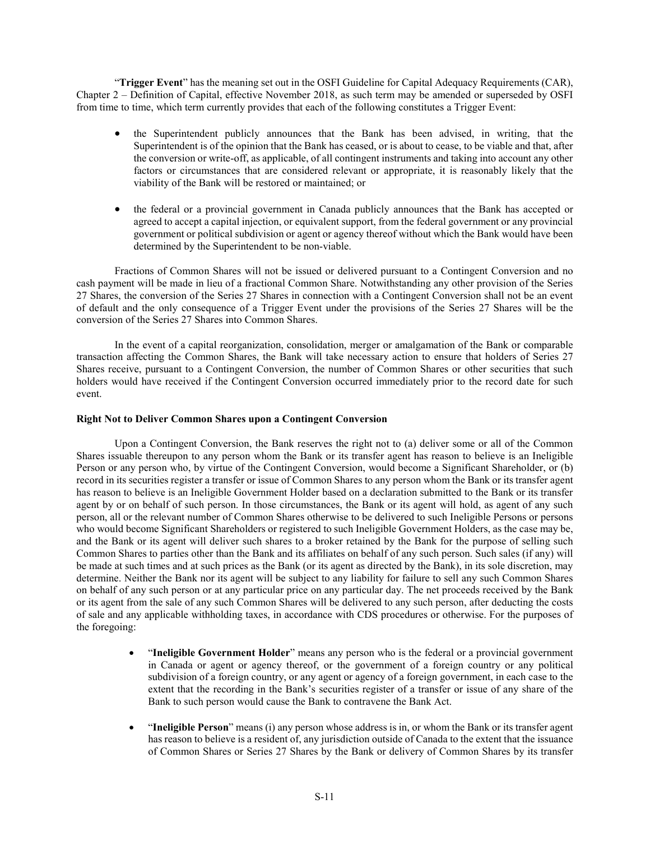"**Trigger Event**" has the meaning set out in the OSFI Guideline for Capital Adequacy Requirements (CAR), Chapter 2 ‒ Definition of Capital, effective November 2018, as such term may be amended or superseded by OSFI from time to time, which term currently provides that each of the following constitutes a Trigger Event:

- the Superintendent publicly announces that the Bank has been advised, in writing, that the Superintendent is of the opinion that the Bank has ceased, or is about to cease, to be viable and that, after the conversion or write-off, as applicable, of all contingent instruments and taking into account any other factors or circumstances that are considered relevant or appropriate, it is reasonably likely that the viability of the Bank will be restored or maintained; or
- the federal or a provincial government in Canada publicly announces that the Bank has accepted or agreed to accept a capital injection, or equivalent support, from the federal government or any provincial government or political subdivision or agent or agency thereof without which the Bank would have been determined by the Superintendent to be non-viable.

Fractions of Common Shares will not be issued or delivered pursuant to a Contingent Conversion and no cash payment will be made in lieu of a fractional Common Share. Notwithstanding any other provision of the Series 27 Shares, the conversion of the Series 27 Shares in connection with a Contingent Conversion shall not be an event of default and the only consequence of a Trigger Event under the provisions of the Series 27 Shares will be the conversion of the Series 27 Shares into Common Shares.

In the event of a capital reorganization, consolidation, merger or amalgamation of the Bank or comparable transaction affecting the Common Shares, the Bank will take necessary action to ensure that holders of Series 27 Shares receive, pursuant to a Contingent Conversion, the number of Common Shares or other securities that such holders would have received if the Contingent Conversion occurred immediately prior to the record date for such event.

# **Right Not to Deliver Common Shares upon a Contingent Conversion**

Upon a Contingent Conversion, the Bank reserves the right not to (a) deliver some or all of the Common Shares issuable thereupon to any person whom the Bank or its transfer agent has reason to believe is an Ineligible Person or any person who, by virtue of the Contingent Conversion, would become a Significant Shareholder, or (b) record in its securities register a transfer or issue of Common Shares to any person whom the Bank or its transfer agent has reason to believe is an Ineligible Government Holder based on a declaration submitted to the Bank or its transfer agent by or on behalf of such person. In those circumstances, the Bank or its agent will hold, as agent of any such person, all or the relevant number of Common Shares otherwise to be delivered to such Ineligible Persons or persons who would become Significant Shareholders or registered to such Ineligible Government Holders, as the case may be, and the Bank or its agent will deliver such shares to a broker retained by the Bank for the purpose of selling such Common Shares to parties other than the Bank and its affiliates on behalf of any such person. Such sales (if any) will be made at such times and at such prices as the Bank (or its agent as directed by the Bank), in its sole discretion, may determine. Neither the Bank nor its agent will be subject to any liability for failure to sell any such Common Shares on behalf of any such person or at any particular price on any particular day. The net proceeds received by the Bank or its agent from the sale of any such Common Shares will be delivered to any such person, after deducting the costs of sale and any applicable withholding taxes, in accordance with CDS procedures or otherwise. For the purposes of the foregoing:

- "**Ineligible Government Holder**" means any person who is the federal or a provincial government in Canada or agent or agency thereof, or the government of a foreign country or any political subdivision of a foreign country, or any agent or agency of a foreign government, in each case to the extent that the recording in the Bank's securities register of a transfer or issue of any share of the Bank to such person would cause the Bank to contravene the Bank Act.
- "**Ineligible Person**" means (i) any person whose address is in, or whom the Bank or its transfer agent has reason to believe is a resident of, any jurisdiction outside of Canada to the extent that the issuance of Common Shares or Series 27 Shares by the Bank or delivery of Common Shares by its transfer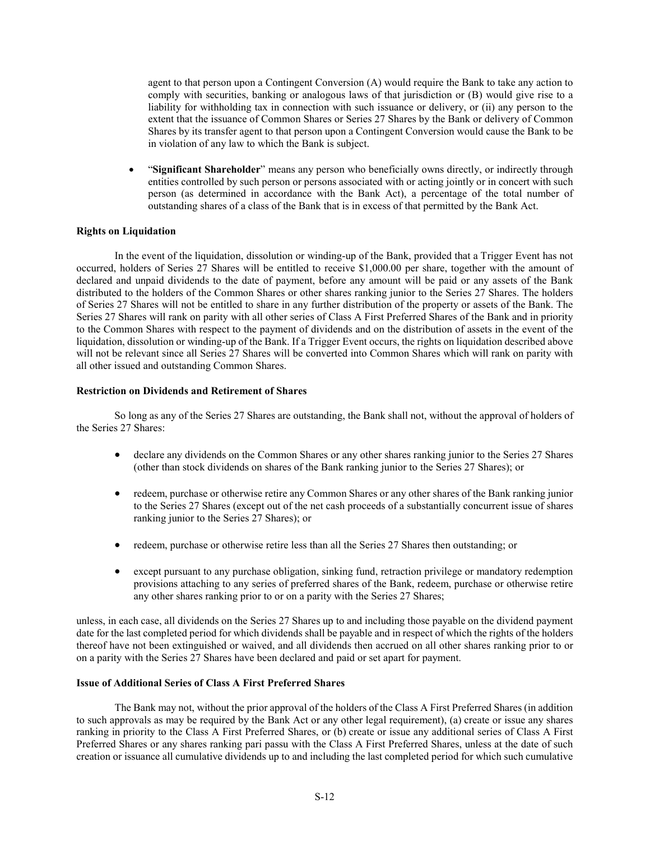agent to that person upon a Contingent Conversion (A) would require the Bank to take any action to comply with securities, banking or analogous laws of that jurisdiction or (B) would give rise to a liability for withholding tax in connection with such issuance or delivery, or (ii) any person to the extent that the issuance of Common Shares or Series 27 Shares by the Bank or delivery of Common Shares by its transfer agent to that person upon a Contingent Conversion would cause the Bank to be in violation of any law to which the Bank is subject.

• "**Significant Shareholder**" means any person who beneficially owns directly, or indirectly through entities controlled by such person or persons associated with or acting jointly or in concert with such person (as determined in accordance with the Bank Act), a percentage of the total number of outstanding shares of a class of the Bank that is in excess of that permitted by the Bank Act.

# **Rights on Liquidation**

In the event of the liquidation, dissolution or winding-up of the Bank, provided that a Trigger Event has not occurred, holders of Series 27 Shares will be entitled to receive \$1,000.00 per share, together with the amount of declared and unpaid dividends to the date of payment, before any amount will be paid or any assets of the Bank distributed to the holders of the Common Shares or other shares ranking junior to the Series 27 Shares. The holders of Series 27 Shares will not be entitled to share in any further distribution of the property or assets of the Bank. The Series 27 Shares will rank on parity with all other series of Class A First Preferred Shares of the Bank and in priority to the Common Shares with respect to the payment of dividends and on the distribution of assets in the event of the liquidation, dissolution or winding-up of the Bank. If a Trigger Event occurs, the rights on liquidation described above will not be relevant since all Series 27 Shares will be converted into Common Shares which will rank on parity with all other issued and outstanding Common Shares.

# **Restriction on Dividends and Retirement of Shares**

So long as any of the Series 27 Shares are outstanding, the Bank shall not, without the approval of holders of the Series 27 Shares:

- declare any dividends on the Common Shares or any other shares ranking junior to the Series 27 Shares (other than stock dividends on shares of the Bank ranking junior to the Series 27 Shares); or
- redeem, purchase or otherwise retire any Common Shares or any other shares of the Bank ranking junior to the Series 27 Shares (except out of the net cash proceeds of a substantially concurrent issue of shares ranking junior to the Series 27 Shares); or
- redeem, purchase or otherwise retire less than all the Series 27 Shares then outstanding; or
- except pursuant to any purchase obligation, sinking fund, retraction privilege or mandatory redemption provisions attaching to any series of preferred shares of the Bank, redeem, purchase or otherwise retire any other shares ranking prior to or on a parity with the Series 27 Shares;

unless, in each case, all dividends on the Series 27 Shares up to and including those payable on the dividend payment date for the last completed period for which dividends shall be payable and in respect of which the rights of the holders thereof have not been extinguished or waived, and all dividends then accrued on all other shares ranking prior to or on a parity with the Series 27 Shares have been declared and paid or set apart for payment.

# **Issue of Additional Series of Class A First Preferred Shares**

The Bank may not, without the prior approval of the holders of the Class A First Preferred Shares (in addition to such approvals as may be required by the Bank Act or any other legal requirement), (a) create or issue any shares ranking in priority to the Class A First Preferred Shares, or (b) create or issue any additional series of Class A First Preferred Shares or any shares ranking pari passu with the Class A First Preferred Shares, unless at the date of such creation or issuance all cumulative dividends up to and including the last completed period for which such cumulative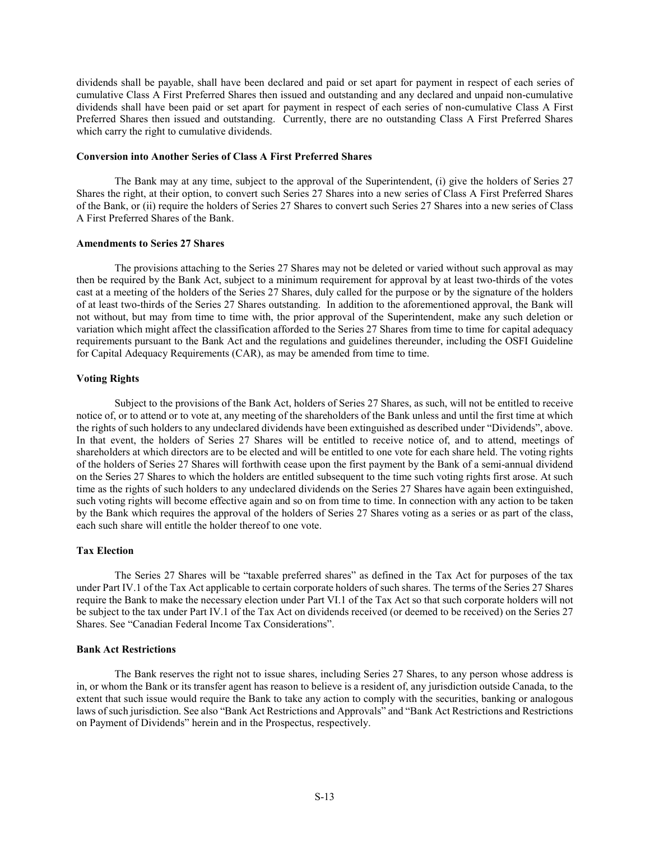dividends shall be payable, shall have been declared and paid or set apart for payment in respect of each series of cumulative Class A First Preferred Shares then issued and outstanding and any declared and unpaid non-cumulative dividends shall have been paid or set apart for payment in respect of each series of non-cumulative Class A First Preferred Shares then issued and outstanding. Currently, there are no outstanding Class A First Preferred Shares which carry the right to cumulative dividends.

## **Conversion into Another Series of Class A First Preferred Shares**

The Bank may at any time, subject to the approval of the Superintendent, (i) give the holders of Series 27 Shares the right, at their option, to convert such Series 27 Shares into a new series of Class A First Preferred Shares of the Bank, or (ii) require the holders of Series 27 Shares to convert such Series 27 Shares into a new series of Class A First Preferred Shares of the Bank.

#### **Amendments to Series 27 Shares**

The provisions attaching to the Series 27 Shares may not be deleted or varied without such approval as may then be required by the Bank Act, subject to a minimum requirement for approval by at least two-thirds of the votes cast at a meeting of the holders of the Series 27 Shares, duly called for the purpose or by the signature of the holders of at least two-thirds of the Series 27 Shares outstanding. In addition to the aforementioned approval, the Bank will not without, but may from time to time with, the prior approval of the Superintendent, make any such deletion or variation which might affect the classification afforded to the Series 27 Shares from time to time for capital adequacy requirements pursuant to the Bank Act and the regulations and guidelines thereunder, including the OSFI Guideline for Capital Adequacy Requirements (CAR), as may be amended from time to time.

#### **Voting Rights**

Subject to the provisions of the Bank Act, holders of Series 27 Shares, as such, will not be entitled to receive notice of, or to attend or to vote at, any meeting of the shareholders of the Bank unless and until the first time at which the rights of such holders to any undeclared dividends have been extinguished as described under "Dividends", above. In that event, the holders of Series 27 Shares will be entitled to receive notice of, and to attend, meetings of shareholders at which directors are to be elected and will be entitled to one vote for each share held. The voting rights of the holders of Series 27 Shares will forthwith cease upon the first payment by the Bank of a semi-annual dividend on the Series 27 Shares to which the holders are entitled subsequent to the time such voting rights first arose. At such time as the rights of such holders to any undeclared dividends on the Series 27 Shares have again been extinguished, such voting rights will become effective again and so on from time to time. In connection with any action to be taken by the Bank which requires the approval of the holders of Series 27 Shares voting as a series or as part of the class, each such share will entitle the holder thereof to one vote.

# **Tax Election**

The Series 27 Shares will be "taxable preferred shares" as defined in the Tax Act for purposes of the tax under Part IV.1 of the Tax Act applicable to certain corporate holders of such shares. The terms of the Series 27 Shares require the Bank to make the necessary election under Part VI.1 of the Tax Act so that such corporate holders will not be subject to the tax under Part IV.1 of the Tax Act on dividends received (or deemed to be received) on the Series 27 Shares. See "Canadian Federal Income Tax Considerations".

#### **Bank Act Restrictions**

The Bank reserves the right not to issue shares, including Series 27 Shares, to any person whose address is in, or whom the Bank or its transfer agent has reason to believe is a resident of, any jurisdiction outside Canada, to the extent that such issue would require the Bank to take any action to comply with the securities, banking or analogous laws of such jurisdiction. See also "Bank Act Restrictions and Approvals" and "Bank Act Restrictions and Restrictions on Payment of Dividends" herein and in the Prospectus, respectively.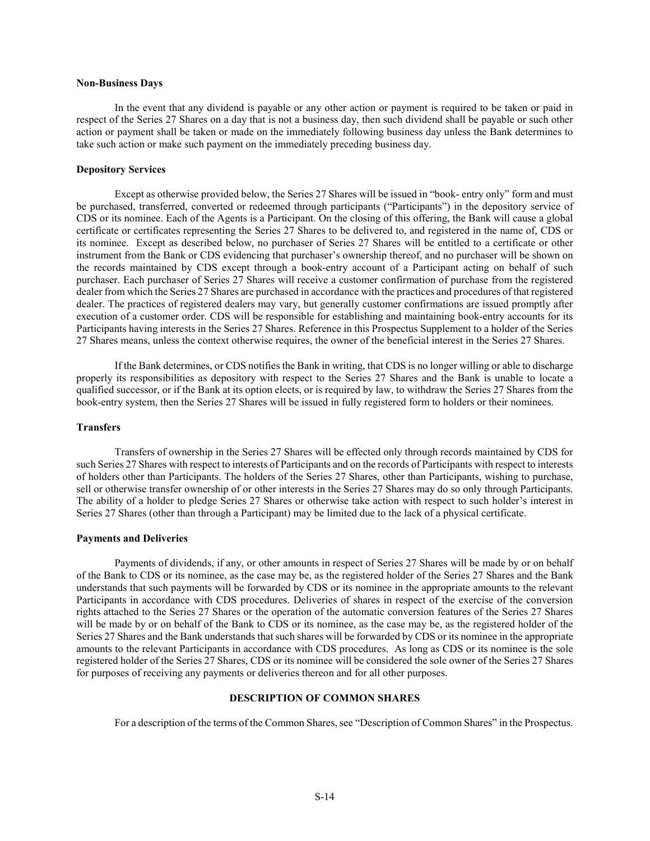#### **Non-Business Days**

In the event that any dividend is payable or any other action or payment is required to be taken or paid in respect of the Series 27 Shares on a day that is not a business day, then such dividend shall be payable or such other action or payment shall be taken or made on the immediately following business day unless the Bank determines to take such action or make such payment on the immediately preceding business day.

#### **Depository Services**

Except as otherwise provided below, the Series 27 Shares will be issued in "book- entry only" form and must be purchased, transferred, converted or redeemed through participants ("Participants") in the depository service of CDS or its nominee. Each of the Agents is a Participant. On the closing of this offering, the Bank will cause a global certificate or certificates representing the Series 27 Shares to be delivered to, and registered in the name of, CDS or its nominee. Except as described below, no purchaser of Series 27 Shares will be entitled to a certificate or other instrument from the Bank or CDS evidencing that purchaser's ownership thereof, and no purchaser will be shown on the records maintained by CDS except through a book-entry account of a Participant acting on behalf of such purchaser. Each purchaser of Series 27 Shares will receive a customer confirmation of purchase from the registered dealer from which the Series 27 Shares are purchased in accordance with the practices and procedures of that registered dealer. The practices of registered dealers may vary, but generally customer confirmations are issued promptly after execution of a customer order. CDS will be responsible for establishing and maintaining book-entry accounts for its Participants having interests in the Series 27 Shares. Reference in this Prospectus Supplement to a holder of the Series 27 Shares means, unless the context otherwise requires, the owner of the beneficial interest in the Series 27 Shares.

If the Bank determines, or CDS notifies the Bank in writing, that CDS is no longer willing or able to discharge properly its responsibilities as depository with respect to the Series 27 Shares and the Bank is unable to locate a qualified successor, or if the Bank at its option elects, or is required by law, to withdraw the Series 27 Shares from the book-entry system, then the Series 27 Shares will be issued in fully registered form to holders or their nominees.

# **Transfers**

Transfers of ownership in the Series 27 Shares will be effected only through records maintained by CDS for such Series 27 Shares with respect to interests of Participants and on the records of Participants with respect to interests of holders other than Participants. The holders of the Series 27 Shares, other than Participants, wishing to purchase, sell or otherwise transfer ownership of or other interests in the Series 27 Shares may do so only through Participants. The ability of a holder to pledge Series 27 Shares or otherwise take action with respect to such holder's interest in Series 27 Shares (other than through a Participant) may be limited due to the lack of a physical certificate.

#### **Payments and Deliveries**

Payments of dividends, if any, or other amounts in respect of Series 27 Shares will be made by or on behalf of the Bank to CDS or its nominee, as the case may be, as the registered holder of the Series 27 Shares and the Bank understands that such payments will be forwarded by CDS or its nominee in the appropriate amounts to the relevant Participants in accordance with CDS procedures. Deliveries of shares in respect of the exercise of the conversion rights attached to the Series 27 Shares or the operation of the automatic conversion features of the Series 27 Shares will be made by or on behalf of the Bank to CDS or its nominee, as the case may be, as the registered holder of the Series 27 Shares and the Bank understands that such shares will be forwarded by CDS or its nominee in the appropriate amounts to the relevant Participants in accordance with CDS procedures. As long as CDS or its nominee is the sole registered holder of the Series 27 Shares, CDS or its nominee will be considered the sole owner of the Series 27 Shares for purposes of receiving any payments or deliveries thereon and for all other purposes.

#### **DESCRIPTION OF COMMON SHARES**

<span id="page-13-0"></span>For a description of the terms of the Common Shares, see "Description of Common Shares" in the Prospectus.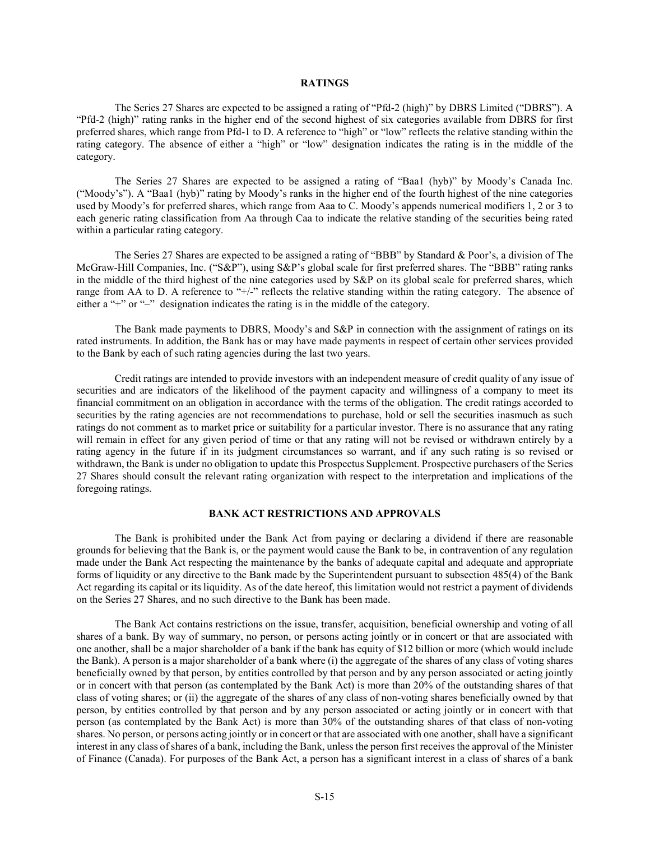## **RATINGS**

<span id="page-14-0"></span>The Series 27 Shares are expected to be assigned a rating of "Pfd-2 (high)" by DBRS Limited ("DBRS"). A "Pfd-2 (high)" rating ranks in the higher end of the second highest of six categories available from DBRS for first preferred shares, which range from Pfd-1 to D. A reference to "high" or "low" reflects the relative standing within the rating category. The absence of either a "high" or "low" designation indicates the rating is in the middle of the category.

The Series 27 Shares are expected to be assigned a rating of "Baa1 (hyb)" by Moody's Canada Inc. ("Moody's"). A "Baa1 (hyb)" rating by Moody's ranks in the higher end of the fourth highest of the nine categories used by Moody's for preferred shares, which range from Aaa to C. Moody's appends numerical modifiers 1, 2 or 3 to each generic rating classification from Aa through Caa to indicate the relative standing of the securities being rated within a particular rating category.

The Series 27 Shares are expected to be assigned a rating of "BBB" by Standard & Poor's, a division of The McGraw-Hill Companies, Inc. ("S&P"), using S&P's global scale for first preferred shares. The "BBB" rating ranks in the middle of the third highest of the nine categories used by S&P on its global scale for preferred shares, which range from AA to D. A reference to "+/-" reflects the relative standing within the rating category. The absence of either a "+" or "–" designation indicates the rating is in the middle of the category.

The Bank made payments to DBRS, Moody's and S&P in connection with the assignment of ratings on its rated instruments. In addition, the Bank has or may have made payments in respect of certain other services provided to the Bank by each of such rating agencies during the last two years.

Credit ratings are intended to provide investors with an independent measure of credit quality of any issue of securities and are indicators of the likelihood of the payment capacity and willingness of a company to meet its financial commitment on an obligation in accordance with the terms of the obligation. The credit ratings accorded to securities by the rating agencies are not recommendations to purchase, hold or sell the securities inasmuch as such ratings do not comment as to market price or suitability for a particular investor. There is no assurance that any rating will remain in effect for any given period of time or that any rating will not be revised or withdrawn entirely by a rating agency in the future if in its judgment circumstances so warrant, and if any such rating is so revised or withdrawn, the Bank is under no obligation to update this Prospectus Supplement. Prospective purchasers of the Series 27 Shares should consult the relevant rating organization with respect to the interpretation and implications of the foregoing ratings.

## **BANK ACT RESTRICTIONS AND APPROVALS**

<span id="page-14-1"></span>The Bank is prohibited under the Bank Act from paying or declaring a dividend if there are reasonable grounds for believing that the Bank is, or the payment would cause the Bank to be, in contravention of any regulation made under the Bank Act respecting the maintenance by the banks of adequate capital and adequate and appropriate forms of liquidity or any directive to the Bank made by the Superintendent pursuant to subsection 485(4) of the Bank Act regarding its capital or its liquidity. As of the date hereof, this limitation would not restrict a payment of dividends on the Series 27 Shares, and no such directive to the Bank has been made.

The Bank Act contains restrictions on the issue, transfer, acquisition, beneficial ownership and voting of all shares of a bank. By way of summary, no person, or persons acting jointly or in concert or that are associated with one another, shall be a major shareholder of a bank if the bank has equity of \$12 billion or more (which would include the Bank). A person is a major shareholder of a bank where (i) the aggregate of the shares of any class of voting shares beneficially owned by that person, by entities controlled by that person and by any person associated or acting jointly or in concert with that person (as contemplated by the Bank Act) is more than 20% of the outstanding shares of that class of voting shares; or (ii) the aggregate of the shares of any class of non-voting shares beneficially owned by that person, by entities controlled by that person and by any person associated or acting jointly or in concert with that person (as contemplated by the Bank Act) is more than 30% of the outstanding shares of that class of non-voting shares. No person, or persons acting jointly or in concert or that are associated with one another, shall have a significant interest in any class of shares of a bank, including the Bank, unless the person first receives the approval of the Minister of Finance (Canada). For purposes of the Bank Act, a person has a significant interest in a class of shares of a bank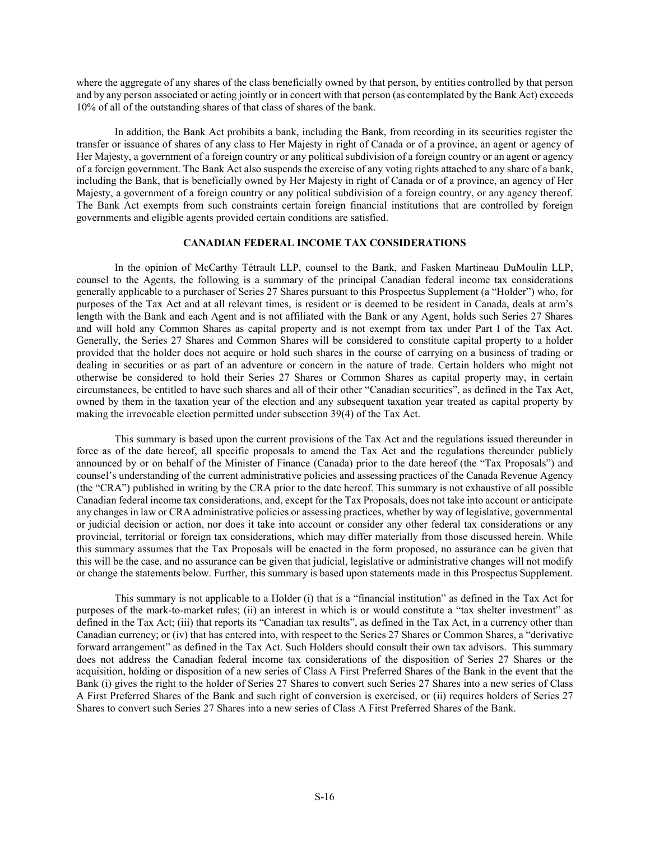where the aggregate of any shares of the class beneficially owned by that person, by entities controlled by that person and by any person associated or acting jointly or in concert with that person (as contemplated by the Bank Act) exceeds 10% of all of the outstanding shares of that class of shares of the bank.

In addition, the Bank Act prohibits a bank, including the Bank, from recording in its securities register the transfer or issuance of shares of any class to Her Majesty in right of Canada or of a province, an agent or agency of Her Majesty, a government of a foreign country or any political subdivision of a foreign country or an agent or agency of a foreign government. The Bank Act also suspends the exercise of any voting rights attached to any share of a bank, including the Bank, that is beneficially owned by Her Majesty in right of Canada or of a province, an agency of Her Majesty, a government of a foreign country or any political subdivision of a foreign country, or any agency thereof. The Bank Act exempts from such constraints certain foreign financial institutions that are controlled by foreign governments and eligible agents provided certain conditions are satisfied.

## **CANADIAN FEDERAL INCOME TAX CONSIDERATIONS**

<span id="page-15-0"></span>In the opinion of McCarthy Tétrault LLP, counsel to the Bank, and Fasken Martineau DuMoulin LLP, counsel to the Agents, the following is a summary of the principal Canadian federal income tax considerations generally applicable to a purchaser of Series 27 Shares pursuant to this Prospectus Supplement (a "Holder") who, for purposes of the Tax Act and at all relevant times, is resident or is deemed to be resident in Canada, deals at arm's length with the Bank and each Agent and is not affiliated with the Bank or any Agent, holds such Series 27 Shares and will hold any Common Shares as capital property and is not exempt from tax under Part I of the Tax Act. Generally, the Series 27 Shares and Common Shares will be considered to constitute capital property to a holder provided that the holder does not acquire or hold such shares in the course of carrying on a business of trading or dealing in securities or as part of an adventure or concern in the nature of trade. Certain holders who might not otherwise be considered to hold their Series 27 Shares or Common Shares as capital property may, in certain circumstances, be entitled to have such shares and all of their other "Canadian securities", as defined in the Tax Act, owned by them in the taxation year of the election and any subsequent taxation year treated as capital property by making the irrevocable election permitted under subsection 39(4) of the Tax Act.

This summary is based upon the current provisions of the Tax Act and the regulations issued thereunder in force as of the date hereof, all specific proposals to amend the Tax Act and the regulations thereunder publicly announced by or on behalf of the Minister of Finance (Canada) prior to the date hereof (the "Tax Proposals") and counsel's understanding of the current administrative policies and assessing practices of the Canada Revenue Agency (the "CRA") published in writing by the CRA prior to the date hereof. This summary is not exhaustive of all possible Canadian federal income tax considerations, and, except for the Tax Proposals, does not take into account or anticipate any changes in law or CRA administrative policies or assessing practices, whether by way of legislative, governmental or judicial decision or action, nor does it take into account or consider any other federal tax considerations or any provincial, territorial or foreign tax considerations, which may differ materially from those discussed herein. While this summary assumes that the Tax Proposals will be enacted in the form proposed, no assurance can be given that this will be the case, and no assurance can be given that judicial, legislative or administrative changes will not modify or change the statements below. Further, this summary is based upon statements made in this Prospectus Supplement.

This summary is not applicable to a Holder (i) that is a "financial institution" as defined in the Tax Act for purposes of the mark-to-market rules; (ii) an interest in which is or would constitute a "tax shelter investment" as defined in the Tax Act; (iii) that reports its "Canadian tax results", as defined in the Tax Act, in a currency other than Canadian currency; or (iv) that has entered into, with respect to the Series 27 Shares or Common Shares, a "derivative forward arrangement" as defined in the Tax Act. Such Holders should consult their own tax advisors. This summary does not address the Canadian federal income tax considerations of the disposition of Series 27 Shares or the acquisition, holding or disposition of a new series of Class A First Preferred Shares of the Bank in the event that the Bank (i) gives the right to the holder of Series 27 Shares to convert such Series 27 Shares into a new series of Class A First Preferred Shares of the Bank and such right of conversion is exercised, or (ii) requires holders of Series 27 Shares to convert such Series 27 Shares into a new series of Class A First Preferred Shares of the Bank.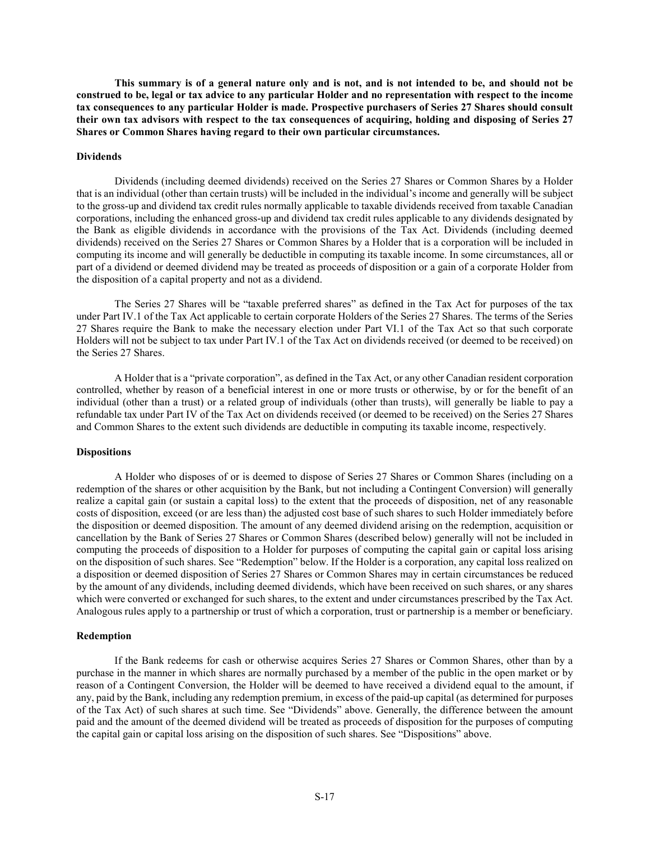**This summary is of a general nature only and is not, and is not intended to be, and should not be construed to be, legal or tax advice to any particular Holder and no representation with respect to the income tax consequences to any particular Holder is made. Prospective purchasers of Series 27 Shares should consult their own tax advisors with respect to the tax consequences of acquiring, holding and disposing of Series 27 Shares or Common Shares having regard to their own particular circumstances.**

#### **Dividends**

Dividends (including deemed dividends) received on the Series 27 Shares or Common Shares by a Holder that is an individual (other than certain trusts) will be included in the individual's income and generally will be subject to the gross-up and dividend tax credit rules normally applicable to taxable dividends received from taxable Canadian corporations, including the enhanced gross-up and dividend tax credit rules applicable to any dividends designated by the Bank as eligible dividends in accordance with the provisions of the Tax Act. Dividends (including deemed dividends) received on the Series 27 Shares or Common Shares by a Holder that is a corporation will be included in computing its income and will generally be deductible in computing its taxable income. In some circumstances, all or part of a dividend or deemed dividend may be treated as proceeds of disposition or a gain of a corporate Holder from the disposition of a capital property and not as a dividend.

The Series 27 Shares will be "taxable preferred shares" as defined in the Tax Act for purposes of the tax under Part IV.1 of the Tax Act applicable to certain corporate Holders of the Series 27 Shares. The terms of the Series 27 Shares require the Bank to make the necessary election under Part VI.1 of the Tax Act so that such corporate Holders will not be subject to tax under Part IV.1 of the Tax Act on dividends received (or deemed to be received) on the Series 27 Shares.

A Holder that is a "private corporation", as defined in the Tax Act, or any other Canadian resident corporation controlled, whether by reason of a beneficial interest in one or more trusts or otherwise, by or for the benefit of an individual (other than a trust) or a related group of individuals (other than trusts), will generally be liable to pay a refundable tax under Part IV of the Tax Act on dividends received (or deemed to be received) on the Series 27 Shares and Common Shares to the extent such dividends are deductible in computing its taxable income, respectively.

#### **Dispositions**

A Holder who disposes of or is deemed to dispose of Series 27 Shares or Common Shares (including on a redemption of the shares or other acquisition by the Bank, but not including a Contingent Conversion) will generally realize a capital gain (or sustain a capital loss) to the extent that the proceeds of disposition, net of any reasonable costs of disposition, exceed (or are less than) the adjusted cost base of such shares to such Holder immediately before the disposition or deemed disposition. The amount of any deemed dividend arising on the redemption, acquisition or cancellation by the Bank of Series 27 Shares or Common Shares (described below) generally will not be included in computing the proceeds of disposition to a Holder for purposes of computing the capital gain or capital loss arising on the disposition of such shares. See "Redemption" below. If the Holder is a corporation, any capital loss realized on a disposition or deemed disposition of Series 27 Shares or Common Shares may in certain circumstances be reduced by the amount of any dividends, including deemed dividends, which have been received on such shares, or any shares which were converted or exchanged for such shares, to the extent and under circumstances prescribed by the Tax Act. Analogous rules apply to a partnership or trust of which a corporation, trust or partnership is a member or beneficiary.

#### **Redemption**

If the Bank redeems for cash or otherwise acquires Series 27 Shares or Common Shares, other than by a purchase in the manner in which shares are normally purchased by a member of the public in the open market or by reason of a Contingent Conversion, the Holder will be deemed to have received a dividend equal to the amount, if any, paid by the Bank, including any redemption premium, in excess of the paid-up capital (as determined for purposes of the Tax Act) of such shares at such time. See "Dividends" above. Generally, the difference between the amount paid and the amount of the deemed dividend will be treated as proceeds of disposition for the purposes of computing the capital gain or capital loss arising on the disposition of such shares. See "Dispositions" above.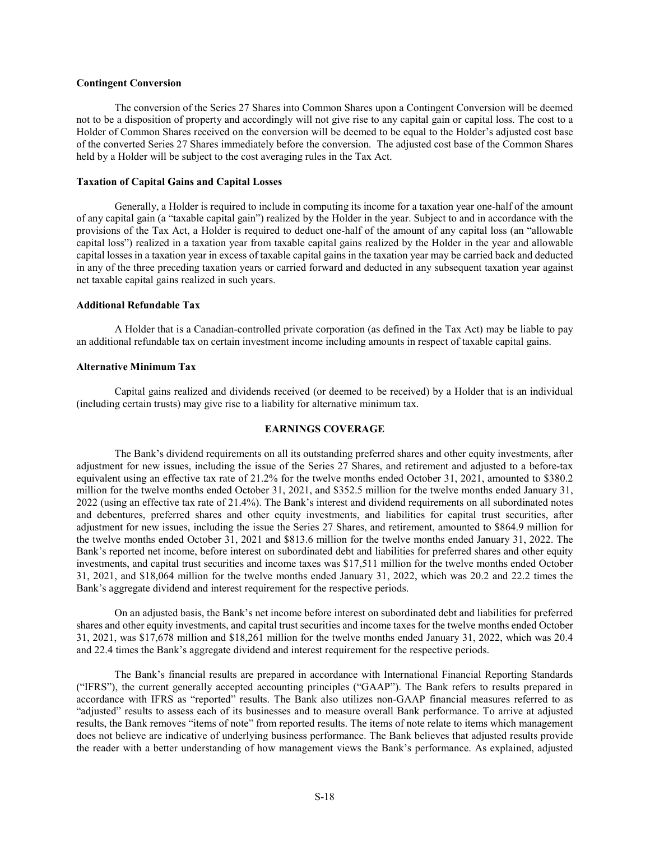## **Contingent Conversion**

The conversion of the Series 27 Shares into Common Shares upon a Contingent Conversion will be deemed not to be a disposition of property and accordingly will not give rise to any capital gain or capital loss. The cost to a Holder of Common Shares received on the conversion will be deemed to be equal to the Holder's adjusted cost base of the converted Series 27 Shares immediately before the conversion. The adjusted cost base of the Common Shares held by a Holder will be subject to the cost averaging rules in the Tax Act.

## **Taxation of Capital Gains and Capital Losses**

Generally, a Holder is required to include in computing its income for a taxation year one-half of the amount of any capital gain (a "taxable capital gain") realized by the Holder in the year. Subject to and in accordance with the provisions of the Tax Act, a Holder is required to deduct one-half of the amount of any capital loss (an "allowable capital loss") realized in a taxation year from taxable capital gains realized by the Holder in the year and allowable capital losses in a taxation year in excess of taxable capital gains in the taxation year may be carried back and deducted in any of the three preceding taxation years or carried forward and deducted in any subsequent taxation year against net taxable capital gains realized in such years.

#### **Additional Refundable Tax**

A Holder that is a Canadian-controlled private corporation (as defined in the Tax Act) may be liable to pay an additional refundable tax on certain investment income including amounts in respect of taxable capital gains.

#### **Alternative Minimum Tax**

Capital gains realized and dividends received (or deemed to be received) by a Holder that is an individual (including certain trusts) may give rise to a liability for alternative minimum tax.

#### **EARNINGS COVERAGE**

<span id="page-17-0"></span>The Bank's dividend requirements on all its outstanding preferred shares and other equity investments, after adjustment for new issues, including the issue of the Series 27 Shares, and retirement and adjusted to a before-tax equivalent using an effective tax rate of 21.2% for the twelve months ended October 31, 2021, amounted to \$380.2 million for the twelve months ended October 31, 2021, and \$352.5 million for the twelve months ended January 31, 2022 (using an effective tax rate of 21.4%). The Bank's interest and dividend requirements on all subordinated notes and debentures, preferred shares and other equity investments, and liabilities for capital trust securities, after adjustment for new issues, including the issue the Series 27 Shares, and retirement, amounted to \$864.9 million for the twelve months ended October 31, 2021 and \$813.6 million for the twelve months ended January 31, 2022. The Bank's reported net income, before interest on subordinated debt and liabilities for preferred shares and other equity investments, and capital trust securities and income taxes was \$17,511 million for the twelve months ended October 31, 2021, and \$18,064 million for the twelve months ended January 31, 2022, which was 20.2 and 22.2 times the Bank's aggregate dividend and interest requirement for the respective periods.

On an adjusted basis, the Bank's net income before interest on subordinated debt and liabilities for preferred shares and other equity investments, and capital trust securities and income taxes for the twelve months ended October 31, 2021, was \$17,678 million and \$18,261 million for the twelve months ended January 31, 2022, which was 20.4 and 22.4 times the Bank's aggregate dividend and interest requirement for the respective periods.

The Bank's financial results are prepared in accordance with International Financial Reporting Standards ("IFRS"), the current generally accepted accounting principles ("GAAP"). The Bank refers to results prepared in accordance with IFRS as "reported" results. The Bank also utilizes non-GAAP financial measures referred to as "adjusted" results to assess each of its businesses and to measure overall Bank performance. To arrive at adjusted results, the Bank removes "items of note" from reported results. The items of note relate to items which management does not believe are indicative of underlying business performance. The Bank believes that adjusted results provide the reader with a better understanding of how management views the Bank's performance. As explained, adjusted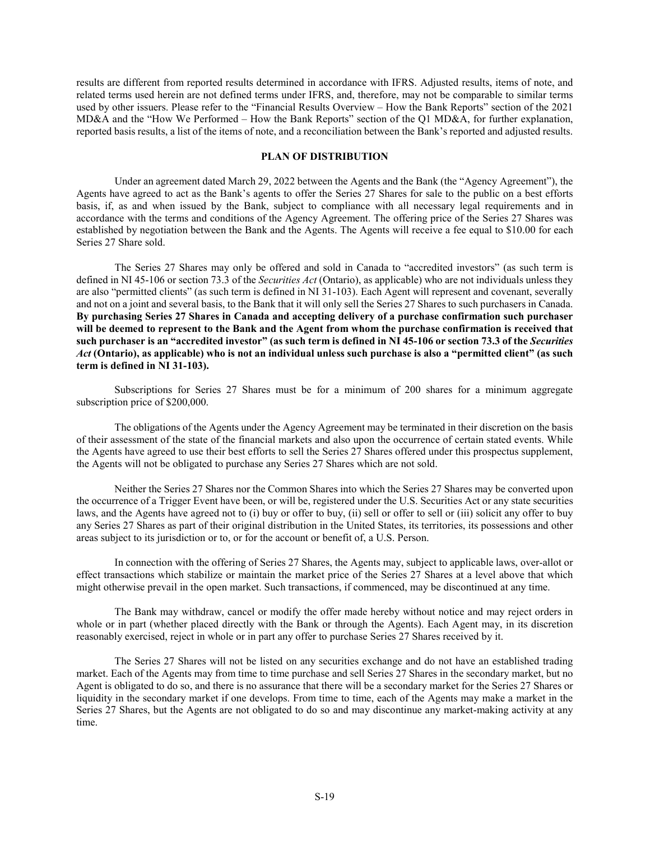results are different from reported results determined in accordance with IFRS. Adjusted results, items of note, and related terms used herein are not defined terms under IFRS, and, therefore, may not be comparable to similar terms used by other issuers. Please refer to the "Financial Results Overview – How the Bank Reports" section of the 2021 MD&A and the "How We Performed – How the Bank Reports" section of the Q1 MD&A, for further explanation, reported basis results, a list of the items of note, and a reconciliation between the Bank's reported and adjusted results.

## **PLAN OF DISTRIBUTION**

<span id="page-18-0"></span>Under an agreement dated March 29, 2022 between the Agents and the Bank (the "Agency Agreement"), the Agents have agreed to act as the Bank's agents to offer the Series 27 Shares for sale to the public on a best efforts basis, if, as and when issued by the Bank, subject to compliance with all necessary legal requirements and in accordance with the terms and conditions of the Agency Agreement. The offering price of the Series 27 Shares was established by negotiation between the Bank and the Agents. The Agents will receive a fee equal to \$10.00 for each Series 27 Share sold.

The Series 27 Shares may only be offered and sold in Canada to "accredited investors" (as such term is defined in NI 45-106 or section 73.3 of the *Securities Act* (Ontario), as applicable) who are not individuals unless they are also "permitted clients" (as such term is defined in NI 31-103). Each Agent will represent and covenant, severally and not on a joint and several basis, to the Bank that it will only sell the Series 27 Shares to such purchasers in Canada. **By purchasing Series 27 Shares in Canada and accepting delivery of a purchase confirmation such purchaser will be deemed to represent to the Bank and the Agent from whom the purchase confirmation is received that such purchaser is an "accredited investor" (as such term is defined in NI 45-106 or section 73.3 of the** *Securities Act* **(Ontario), as applicable) who is not an individual unless such purchase is also a "permitted client" (as such term is defined in NI 31-103).**

Subscriptions for Series 27 Shares must be for a minimum of 200 shares for a minimum aggregate subscription price of \$200,000.

The obligations of the Agents under the Agency Agreement may be terminated in their discretion on the basis of their assessment of the state of the financial markets and also upon the occurrence of certain stated events. While the Agents have agreed to use their best efforts to sell the Series 27 Shares offered under this prospectus supplement, the Agents will not be obligated to purchase any Series 27 Shares which are not sold.

Neither the Series 27 Shares nor the Common Shares into which the Series 27 Shares may be converted upon the occurrence of a Trigger Event have been, or will be, registered under the U.S. Securities Act or any state securities laws, and the Agents have agreed not to (i) buy or offer to buy, (ii) sell or offer to sell or (iii) solicit any offer to buy any Series 27 Shares as part of their original distribution in the United States, its territories, its possessions and other areas subject to its jurisdiction or to, or for the account or benefit of, a U.S. Person.

In connection with the offering of Series 27 Shares, the Agents may, subject to applicable laws, over-allot or effect transactions which stabilize or maintain the market price of the Series 27 Shares at a level above that which might otherwise prevail in the open market. Such transactions, if commenced, may be discontinued at any time.

The Bank may withdraw, cancel or modify the offer made hereby without notice and may reject orders in whole or in part (whether placed directly with the Bank or through the Agents). Each Agent may, in its discretion reasonably exercised, reject in whole or in part any offer to purchase Series 27 Shares received by it.

The Series 27 Shares will not be listed on any securities exchange and do not have an established trading market. Each of the Agents may from time to time purchase and sell Series 27 Shares in the secondary market, but no Agent is obligated to do so, and there is no assurance that there will be a secondary market for the Series 27 Shares or liquidity in the secondary market if one develops. From time to time, each of the Agents may make a market in the Series 27 Shares, but the Agents are not obligated to do so and may discontinue any market-making activity at any time.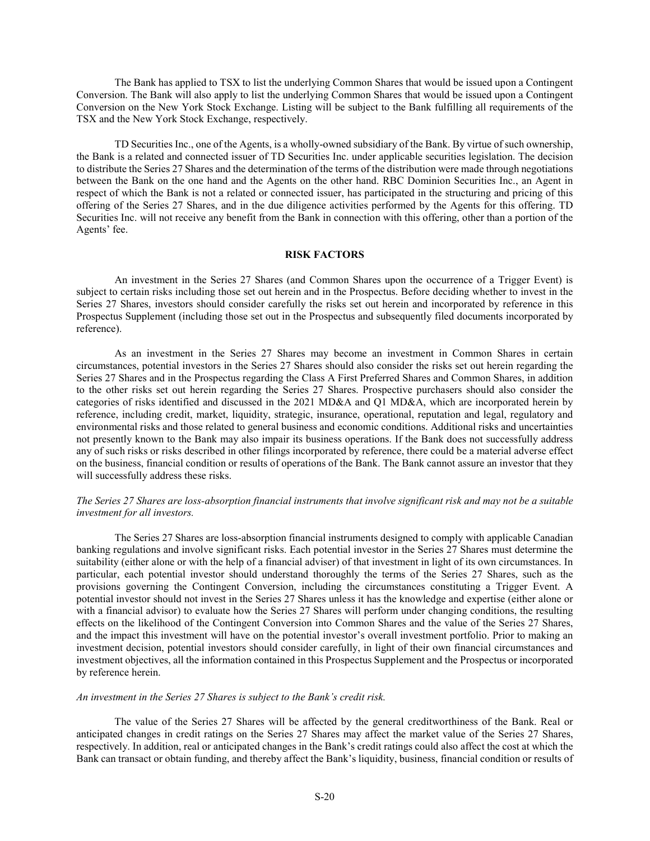The Bank has applied to TSX to list the underlying Common Shares that would be issued upon a Contingent Conversion. The Bank will also apply to list the underlying Common Shares that would be issued upon a Contingent Conversion on the New York Stock Exchange. Listing will be subject to the Bank fulfilling all requirements of the TSX and the New York Stock Exchange, respectively.

TD Securities Inc., one of the Agents, is a wholly-owned subsidiary of the Bank. By virtue of such ownership, the Bank is a related and connected issuer of TD Securities Inc. under applicable securities legislation. The decision to distribute the Series 27 Shares and the determination of the terms of the distribution were made through negotiations between the Bank on the one hand and the Agents on the other hand. RBC Dominion Securities Inc., an Agent in respect of which the Bank is not a related or connected issuer, has participated in the structuring and pricing of this offering of the Series 27 Shares, and in the due diligence activities performed by the Agents for this offering. TD Securities Inc. will not receive any benefit from the Bank in connection with this offering, other than a portion of the Agents' fee.

#### **RISK FACTORS**

<span id="page-19-0"></span>An investment in the Series 27 Shares (and Common Shares upon the occurrence of a Trigger Event) is subject to certain risks including those set out herein and in the Prospectus. Before deciding whether to invest in the Series 27 Shares, investors should consider carefully the risks set out herein and incorporated by reference in this Prospectus Supplement (including those set out in the Prospectus and subsequently filed documents incorporated by reference).

As an investment in the Series 27 Shares may become an investment in Common Shares in certain circumstances, potential investors in the Series 27 Shares should also consider the risks set out herein regarding the Series 27 Shares and in the Prospectus regarding the Class A First Preferred Shares and Common Shares, in addition to the other risks set out herein regarding the Series 27 Shares. Prospective purchasers should also consider the categories of risks identified and discussed in the 2021 MD&A and Q1 MD&A, which are incorporated herein by reference, including credit, market, liquidity, strategic, insurance, operational, reputation and legal, regulatory and environmental risks and those related to general business and economic conditions. Additional risks and uncertainties not presently known to the Bank may also impair its business operations. If the Bank does not successfully address any of such risks or risks described in other filings incorporated by reference, there could be a material adverse effect on the business, financial condition or results of operations of the Bank. The Bank cannot assure an investor that they will successfully address these risks.

# *The Series 27 Shares are loss-absorption financial instruments that involve significant risk and may not be a suitable investment for all investors.*

The Series 27 Shares are loss-absorption financial instruments designed to comply with applicable Canadian banking regulations and involve significant risks. Each potential investor in the Series 27 Shares must determine the suitability (either alone or with the help of a financial adviser) of that investment in light of its own circumstances. In particular, each potential investor should understand thoroughly the terms of the Series 27 Shares, such as the provisions governing the Contingent Conversion, including the circumstances constituting a Trigger Event. A potential investor should not invest in the Series 27 Shares unless it has the knowledge and expertise (either alone or with a financial advisor) to evaluate how the Series 27 Shares will perform under changing conditions, the resulting effects on the likelihood of the Contingent Conversion into Common Shares and the value of the Series 27 Shares, and the impact this investment will have on the potential investor's overall investment portfolio. Prior to making an investment decision, potential investors should consider carefully, in light of their own financial circumstances and investment objectives, all the information contained in this Prospectus Supplement and the Prospectus or incorporated by reference herein.

#### *An investment in the Series 27 Shares is subject to the Bank's credit risk.*

The value of the Series 27 Shares will be affected by the general creditworthiness of the Bank. Real or anticipated changes in credit ratings on the Series 27 Shares may affect the market value of the Series 27 Shares, respectively. In addition, real or anticipated changes in the Bank's credit ratings could also affect the cost at which the Bank can transact or obtain funding, and thereby affect the Bank's liquidity, business, financial condition or results of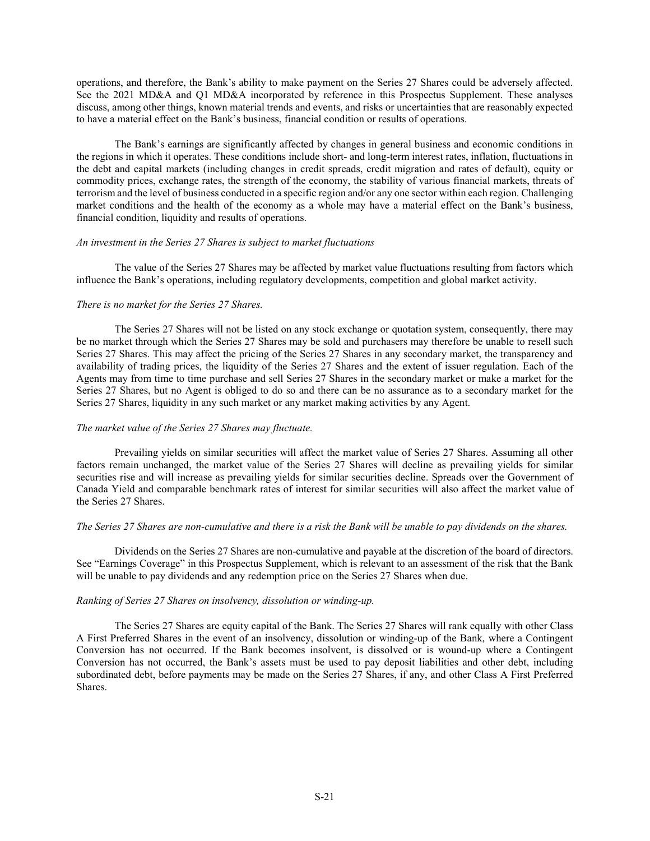operations, and therefore, the Bank's ability to make payment on the Series 27 Shares could be adversely affected. See the 2021 MD&A and Q1 MD&A incorporated by reference in this Prospectus Supplement. These analyses discuss, among other things, known material trends and events, and risks or uncertainties that are reasonably expected to have a material effect on the Bank's business, financial condition or results of operations.

The Bank's earnings are significantly affected by changes in general business and economic conditions in the regions in which it operates. These conditions include short- and long-term interest rates, inflation, fluctuations in the debt and capital markets (including changes in credit spreads, credit migration and rates of default), equity or commodity prices, exchange rates, the strength of the economy, the stability of various financial markets, threats of terrorism and the level of business conducted in a specific region and/or any one sector within each region. Challenging market conditions and the health of the economy as a whole may have a material effect on the Bank's business, financial condition, liquidity and results of operations.

#### *An investment in the Series 27 Shares is subject to market fluctuations*

The value of the Series 27 Shares may be affected by market value fluctuations resulting from factors which influence the Bank's operations, including regulatory developments, competition and global market activity.

#### *There is no market for the Series 27 Shares.*

The Series 27 Shares will not be listed on any stock exchange or quotation system, consequently, there may be no market through which the Series 27 Shares may be sold and purchasers may therefore be unable to resell such Series 27 Shares. This may affect the pricing of the Series 27 Shares in any secondary market, the transparency and availability of trading prices, the liquidity of the Series 27 Shares and the extent of issuer regulation. Each of the Agents may from time to time purchase and sell Series 27 Shares in the secondary market or make a market for the Series 27 Shares, but no Agent is obliged to do so and there can be no assurance as to a secondary market for the Series 27 Shares, liquidity in any such market or any market making activities by any Agent.

# *The market value of the Series 27 Shares may fluctuate.*

Prevailing yields on similar securities will affect the market value of Series 27 Shares. Assuming all other factors remain unchanged, the market value of the Series 27 Shares will decline as prevailing yields for similar securities rise and will increase as prevailing yields for similar securities decline. Spreads over the Government of Canada Yield and comparable benchmark rates of interest for similar securities will also affect the market value of the Series 27 Shares.

# *The Series 27 Shares are non-cumulative and there is a risk the Bank will be unable to pay dividends on the shares.*

Dividends on the Series 27 Shares are non-cumulative and payable at the discretion of the board of directors. See "Earnings Coverage" in this Prospectus Supplement, which is relevant to an assessment of the risk that the Bank will be unable to pay dividends and any redemption price on the Series 27 Shares when due.

#### *Ranking of Series 27 Shares on insolvency, dissolution or winding-up.*

The Series 27 Shares are equity capital of the Bank. The Series 27 Shares will rank equally with other Class A First Preferred Shares in the event of an insolvency, dissolution or winding-up of the Bank, where a Contingent Conversion has not occurred. If the Bank becomes insolvent, is dissolved or is wound-up where a Contingent Conversion has not occurred, the Bank's assets must be used to pay deposit liabilities and other debt, including subordinated debt, before payments may be made on the Series 27 Shares, if any, and other Class A First Preferred Shares.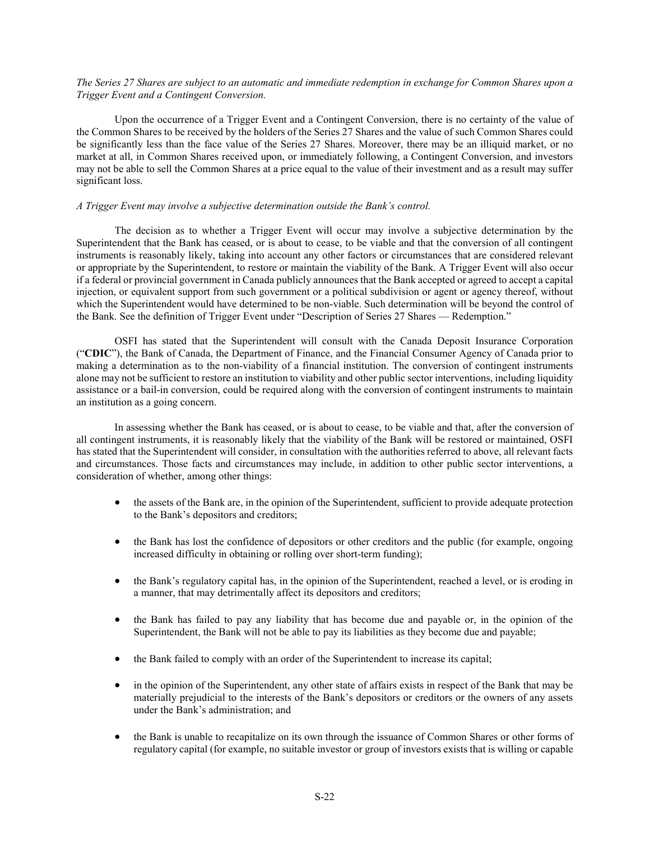# *The Series 27 Shares are subject to an automatic and immediate redemption in exchange for Common Shares upon a Trigger Event and a Contingent Conversion.*

Upon the occurrence of a Trigger Event and a Contingent Conversion, there is no certainty of the value of the Common Shares to be received by the holders of the Series 27 Shares and the value of such Common Shares could be significantly less than the face value of the Series 27 Shares. Moreover, there may be an illiquid market, or no market at all, in Common Shares received upon, or immediately following, a Contingent Conversion, and investors may not be able to sell the Common Shares at a price equal to the value of their investment and as a result may suffer significant loss.

## *A Trigger Event may involve a subjective determination outside the Bank's control.*

The decision as to whether a Trigger Event will occur may involve a subjective determination by the Superintendent that the Bank has ceased, or is about to cease, to be viable and that the conversion of all contingent instruments is reasonably likely, taking into account any other factors or circumstances that are considered relevant or appropriate by the Superintendent, to restore or maintain the viability of the Bank. A Trigger Event will also occur if a federal or provincial government in Canada publicly announces that the Bank accepted or agreed to accept a capital injection, or equivalent support from such government or a political subdivision or agent or agency thereof, without which the Superintendent would have determined to be non-viable. Such determination will be beyond the control of the Bank. See the definition of Trigger Event under "Description of Series 27 Shares — Redemption."

OSFI has stated that the Superintendent will consult with the Canada Deposit Insurance Corporation ("**CDIC**"), the Bank of Canada, the Department of Finance, and the Financial Consumer Agency of Canada prior to making a determination as to the non-viability of a financial institution. The conversion of contingent instruments alone may not be sufficient to restore an institution to viability and other public sector interventions, including liquidity assistance or a bail-in conversion, could be required along with the conversion of contingent instruments to maintain an institution as a going concern.

In assessing whether the Bank has ceased, or is about to cease, to be viable and that, after the conversion of all contingent instruments, it is reasonably likely that the viability of the Bank will be restored or maintained, OSFI has stated that the Superintendent will consider, in consultation with the authorities referred to above, all relevant facts and circumstances. Those facts and circumstances may include, in addition to other public sector interventions, a consideration of whether, among other things:

- the assets of the Bank are, in the opinion of the Superintendent, sufficient to provide adequate protection to the Bank's depositors and creditors;
- the Bank has lost the confidence of depositors or other creditors and the public (for example, ongoing increased difficulty in obtaining or rolling over short-term funding);
- the Bank's regulatory capital has, in the opinion of the Superintendent, reached a level, or is eroding in a manner, that may detrimentally affect its depositors and creditors;
- the Bank has failed to pay any liability that has become due and payable or, in the opinion of the Superintendent, the Bank will not be able to pay its liabilities as they become due and payable;
- the Bank failed to comply with an order of the Superintendent to increase its capital;
- in the opinion of the Superintendent, any other state of affairs exists in respect of the Bank that may be materially prejudicial to the interests of the Bank's depositors or creditors or the owners of any assets under the Bank's administration; and
- the Bank is unable to recapitalize on its own through the issuance of Common Shares or other forms of regulatory capital (for example, no suitable investor or group of investors exists that is willing or capable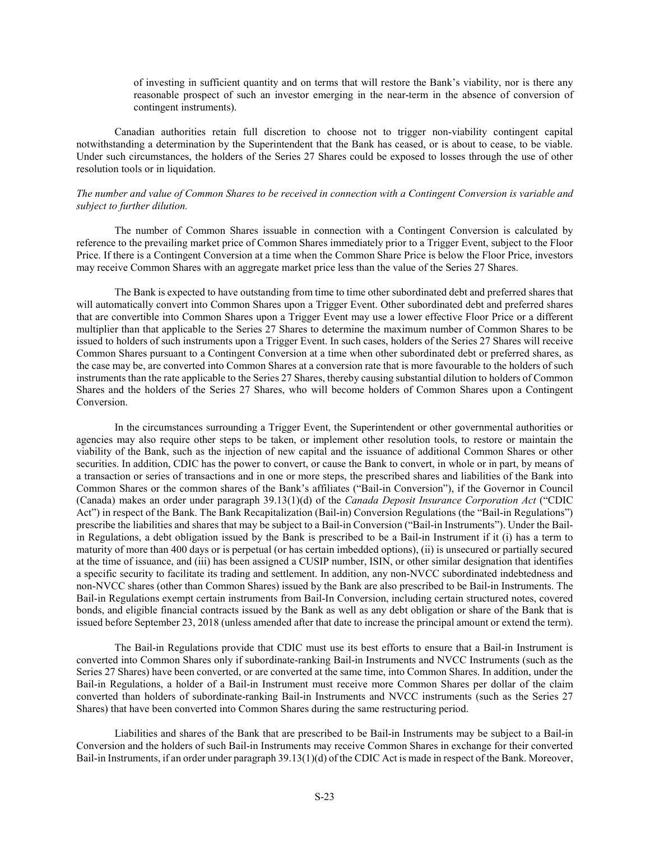of investing in sufficient quantity and on terms that will restore the Bank's viability, nor is there any reasonable prospect of such an investor emerging in the near-term in the absence of conversion of contingent instruments).

Canadian authorities retain full discretion to choose not to trigger non-viability contingent capital notwithstanding a determination by the Superintendent that the Bank has ceased, or is about to cease, to be viable. Under such circumstances, the holders of the Series 27 Shares could be exposed to losses through the use of other resolution tools or in liquidation.

#### *The number and value of Common Shares to be received in connection with a Contingent Conversion is variable and subject to further dilution.*

The number of Common Shares issuable in connection with a Contingent Conversion is calculated by reference to the prevailing market price of Common Shares immediately prior to a Trigger Event, subject to the Floor Price. If there is a Contingent Conversion at a time when the Common Share Price is below the Floor Price, investors may receive Common Shares with an aggregate market price less than the value of the Series 27 Shares.

The Bank is expected to have outstanding from time to time other subordinated debt and preferred shares that will automatically convert into Common Shares upon a Trigger Event. Other subordinated debt and preferred shares that are convertible into Common Shares upon a Trigger Event may use a lower effective Floor Price or a different multiplier than that applicable to the Series 27 Shares to determine the maximum number of Common Shares to be issued to holders of such instruments upon a Trigger Event. In such cases, holders of the Series 27 Shares will receive Common Shares pursuant to a Contingent Conversion at a time when other subordinated debt or preferred shares, as the case may be, are converted into Common Shares at a conversion rate that is more favourable to the holders of such instruments than the rate applicable to the Series 27 Shares, thereby causing substantial dilution to holders of Common Shares and the holders of the Series 27 Shares, who will become holders of Common Shares upon a Contingent Conversion.

In the circumstances surrounding a Trigger Event, the Superintendent or other governmental authorities or agencies may also require other steps to be taken, or implement other resolution tools, to restore or maintain the viability of the Bank, such as the injection of new capital and the issuance of additional Common Shares or other securities. In addition, CDIC has the power to convert, or cause the Bank to convert, in whole or in part, by means of a transaction or series of transactions and in one or more steps, the prescribed shares and liabilities of the Bank into Common Shares or the common shares of the Bank's affiliates ("Bail-in Conversion"), if the Governor in Council (Canada) makes an order under paragraph 39.13(1)(d) of the *Canada Deposit Insurance Corporation Act* ("CDIC Act") in respect of the Bank. The Bank Recapitalization (Bail-in) Conversion Regulations (the "Bail-in Regulations") prescribe the liabilities and shares that may be subject to a Bail-in Conversion ("Bail-in Instruments"). Under the Bailin Regulations, a debt obligation issued by the Bank is prescribed to be a Bail-in Instrument if it (i) has a term to maturity of more than 400 days or is perpetual (or has certain imbedded options), (ii) is unsecured or partially secured at the time of issuance, and (iii) has been assigned a CUSIP number, ISIN, or other similar designation that identifies a specific security to facilitate its trading and settlement. In addition, any non-NVCC subordinated indebtedness and non-NVCC shares (other than Common Shares) issued by the Bank are also prescribed to be Bail-in Instruments. The Bail-in Regulations exempt certain instruments from Bail-In Conversion, including certain structured notes, covered bonds, and eligible financial contracts issued by the Bank as well as any debt obligation or share of the Bank that is issued before September 23, 2018 (unless amended after that date to increase the principal amount or extend the term).

The Bail-in Regulations provide that CDIC must use its best efforts to ensure that a Bail-in Instrument is converted into Common Shares only if subordinate-ranking Bail-in Instruments and NVCC Instruments (such as the Series 27 Shares) have been converted, or are converted at the same time, into Common Shares. In addition, under the Bail-in Regulations, a holder of a Bail-in Instrument must receive more Common Shares per dollar of the claim converted than holders of subordinate-ranking Bail-in Instruments and NVCC instruments (such as the Series 27 Shares) that have been converted into Common Shares during the same restructuring period.

Liabilities and shares of the Bank that are prescribed to be Bail-in Instruments may be subject to a Bail-in Conversion and the holders of such Bail-in Instruments may receive Common Shares in exchange for their converted Bail-in Instruments, if an order under paragraph 39.13(1)(d) of the CDIC Act is made in respect of the Bank. Moreover,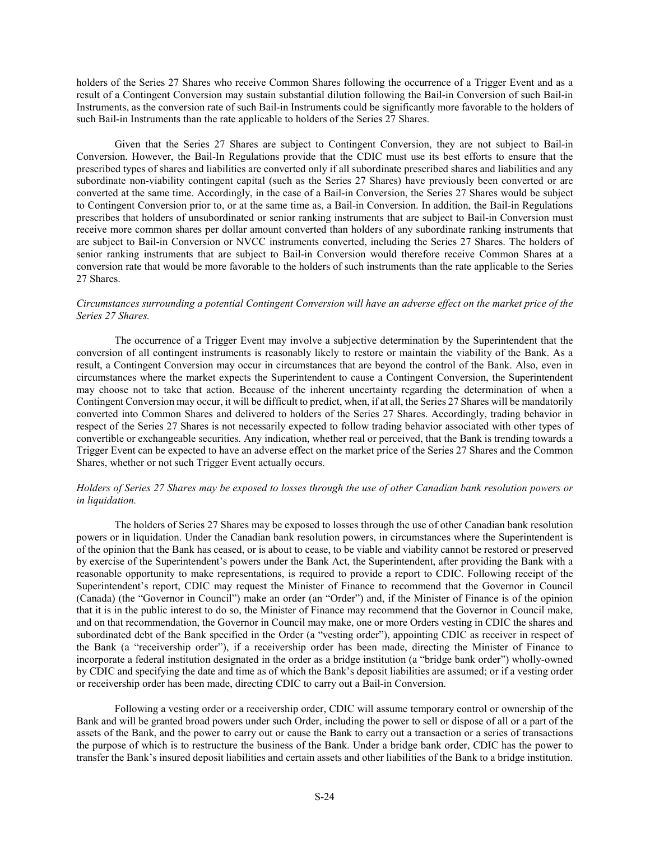holders of the Series 27 Shares who receive Common Shares following the occurrence of a Trigger Event and as a result of a Contingent Conversion may sustain substantial dilution following the Bail-in Conversion of such Bail-in Instruments, as the conversion rate of such Bail-in Instruments could be significantly more favorable to the holders of such Bail-in Instruments than the rate applicable to holders of the Series 27 Shares.

Given that the Series 27 Shares are subject to Contingent Conversion, they are not subject to Bail-in Conversion. However, the Bail-In Regulations provide that the CDIC must use its best efforts to ensure that the prescribed types of shares and liabilities are converted only if all subordinate prescribed shares and liabilities and any subordinate non-viability contingent capital (such as the Series 27 Shares) have previously been converted or are converted at the same time. Accordingly, in the case of a Bail-in Conversion, the Series 27 Shares would be subject to Contingent Conversion prior to, or at the same time as, a Bail-in Conversion. In addition, the Bail-in Regulations prescribes that holders of unsubordinated or senior ranking instruments that are subject to Bail-in Conversion must receive more common shares per dollar amount converted than holders of any subordinate ranking instruments that are subject to Bail-in Conversion or NVCC instruments converted, including the Series 27 Shares. The holders of senior ranking instruments that are subject to Bail-in Conversion would therefore receive Common Shares at a conversion rate that would be more favorable to the holders of such instruments than the rate applicable to the Series 27 Shares.

## *Circumstances surrounding a potential Contingent Conversion will have an adverse effect on the market price of the Series 27 Shares.*

The occurrence of a Trigger Event may involve a subjective determination by the Superintendent that the conversion of all contingent instruments is reasonably likely to restore or maintain the viability of the Bank. As a result, a Contingent Conversion may occur in circumstances that are beyond the control of the Bank. Also, even in circumstances where the market expects the Superintendent to cause a Contingent Conversion, the Superintendent may choose not to take that action. Because of the inherent uncertainty regarding the determination of when a Contingent Conversion may occur, it will be difficult to predict, when, if at all, the Series 27 Shares will be mandatorily converted into Common Shares and delivered to holders of the Series 27 Shares. Accordingly, trading behavior in respect of the Series 27 Shares is not necessarily expected to follow trading behavior associated with other types of convertible or exchangeable securities. Any indication, whether real or perceived, that the Bank is trending towards a Trigger Event can be expected to have an adverse effect on the market price of the Series 27 Shares and the Common Shares, whether or not such Trigger Event actually occurs.

# *Holders of Series 27 Shares may be exposed to losses through the use of other Canadian bank resolution powers or in liquidation.*

The holders of Series 27 Shares may be exposed to losses through the use of other Canadian bank resolution powers or in liquidation. Under the Canadian bank resolution powers, in circumstances where the Superintendent is of the opinion that the Bank has ceased, or is about to cease, to be viable and viability cannot be restored or preserved by exercise of the Superintendent's powers under the Bank Act, the Superintendent, after providing the Bank with a reasonable opportunity to make representations, is required to provide a report to CDIC. Following receipt of the Superintendent's report, CDIC may request the Minister of Finance to recommend that the Governor in Council (Canada) (the "Governor in Council") make an order (an "Order") and, if the Minister of Finance is of the opinion that it is in the public interest to do so, the Minister of Finance may recommend that the Governor in Council make, and on that recommendation, the Governor in Council may make, one or more Orders vesting in CDIC the shares and subordinated debt of the Bank specified in the Order (a "vesting order"), appointing CDIC as receiver in respect of the Bank (a "receivership order"), if a receivership order has been made, directing the Minister of Finance to incorporate a federal institution designated in the order as a bridge institution (a "bridge bank order") wholly-owned by CDIC and specifying the date and time as of which the Bank's deposit liabilities are assumed; or if a vesting order or receivership order has been made, directing CDIC to carry out a Bail-in Conversion.

Following a vesting order or a receivership order, CDIC will assume temporary control or ownership of the Bank and will be granted broad powers under such Order, including the power to sell or dispose of all or a part of the assets of the Bank, and the power to carry out or cause the Bank to carry out a transaction or a series of transactions the purpose of which is to restructure the business of the Bank. Under a bridge bank order, CDIC has the power to transfer the Bank's insured deposit liabilities and certain assets and other liabilities of the Bank to a bridge institution.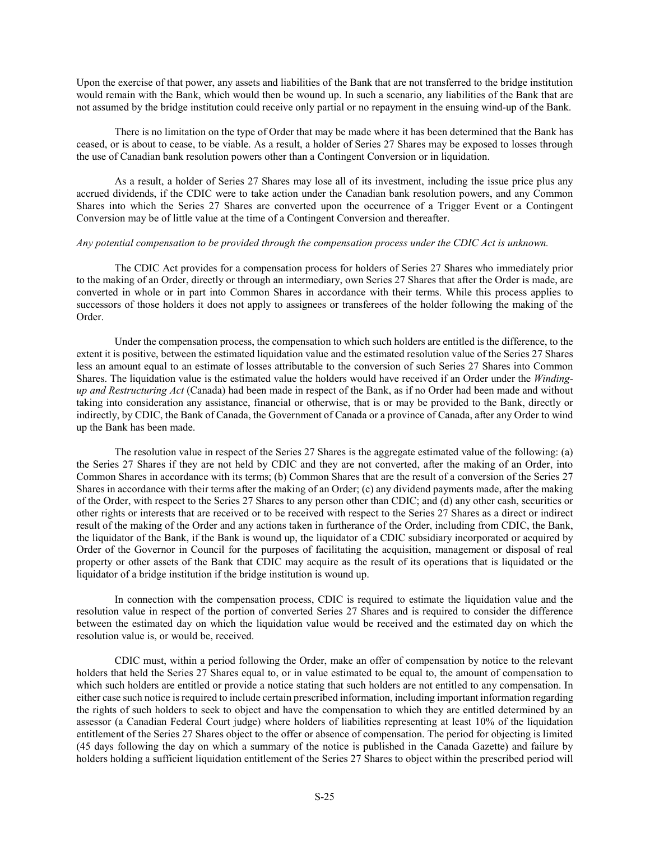Upon the exercise of that power, any assets and liabilities of the Bank that are not transferred to the bridge institution would remain with the Bank, which would then be wound up. In such a scenario, any liabilities of the Bank that are not assumed by the bridge institution could receive only partial or no repayment in the ensuing wind-up of the Bank.

There is no limitation on the type of Order that may be made where it has been determined that the Bank has ceased, or is about to cease, to be viable. As a result, a holder of Series 27 Shares may be exposed to losses through the use of Canadian bank resolution powers other than a Contingent Conversion or in liquidation.

As a result, a holder of Series 27 Shares may lose all of its investment, including the issue price plus any accrued dividends, if the CDIC were to take action under the Canadian bank resolution powers, and any Common Shares into which the Series 27 Shares are converted upon the occurrence of a Trigger Event or a Contingent Conversion may be of little value at the time of a Contingent Conversion and thereafter.

#### *Any potential compensation to be provided through the compensation process under the CDIC Act is unknown.*

The CDIC Act provides for a compensation process for holders of Series 27 Shares who immediately prior to the making of an Order, directly or through an intermediary, own Series 27 Shares that after the Order is made, are converted in whole or in part into Common Shares in accordance with their terms. While this process applies to successors of those holders it does not apply to assignees or transferees of the holder following the making of the Order.

Under the compensation process, the compensation to which such holders are entitled is the difference, to the extent it is positive, between the estimated liquidation value and the estimated resolution value of the Series 27 Shares less an amount equal to an estimate of losses attributable to the conversion of such Series 27 Shares into Common Shares. The liquidation value is the estimated value the holders would have received if an Order under the *Windingup and Restructuring Act* (Canada) had been made in respect of the Bank, as if no Order had been made and without taking into consideration any assistance, financial or otherwise, that is or may be provided to the Bank, directly or indirectly, by CDIC, the Bank of Canada, the Government of Canada or a province of Canada, after any Order to wind up the Bank has been made.

The resolution value in respect of the Series 27 Shares is the aggregate estimated value of the following: (a) the Series 27 Shares if they are not held by CDIC and they are not converted, after the making of an Order, into Common Shares in accordance with its terms; (b) Common Shares that are the result of a conversion of the Series 27 Shares in accordance with their terms after the making of an Order; (c) any dividend payments made, after the making of the Order, with respect to the Series 27 Shares to any person other than CDIC; and (d) any other cash, securities or other rights or interests that are received or to be received with respect to the Series 27 Shares as a direct or indirect result of the making of the Order and any actions taken in furtherance of the Order, including from CDIC, the Bank, the liquidator of the Bank, if the Bank is wound up, the liquidator of a CDIC subsidiary incorporated or acquired by Order of the Governor in Council for the purposes of facilitating the acquisition, management or disposal of real property or other assets of the Bank that CDIC may acquire as the result of its operations that is liquidated or the liquidator of a bridge institution if the bridge institution is wound up.

In connection with the compensation process, CDIC is required to estimate the liquidation value and the resolution value in respect of the portion of converted Series 27 Shares and is required to consider the difference between the estimated day on which the liquidation value would be received and the estimated day on which the resolution value is, or would be, received.

CDIC must, within a period following the Order, make an offer of compensation by notice to the relevant holders that held the Series 27 Shares equal to, or in value estimated to be equal to, the amount of compensation to which such holders are entitled or provide a notice stating that such holders are not entitled to any compensation. In either case such notice is required to include certain prescribed information, including important information regarding the rights of such holders to seek to object and have the compensation to which they are entitled determined by an assessor (a Canadian Federal Court judge) where holders of liabilities representing at least 10% of the liquidation entitlement of the Series 27 Shares object to the offer or absence of compensation. The period for objecting is limited (45 days following the day on which a summary of the notice is published in the Canada Gazette) and failure by holders holding a sufficient liquidation entitlement of the Series 27 Shares to object within the prescribed period will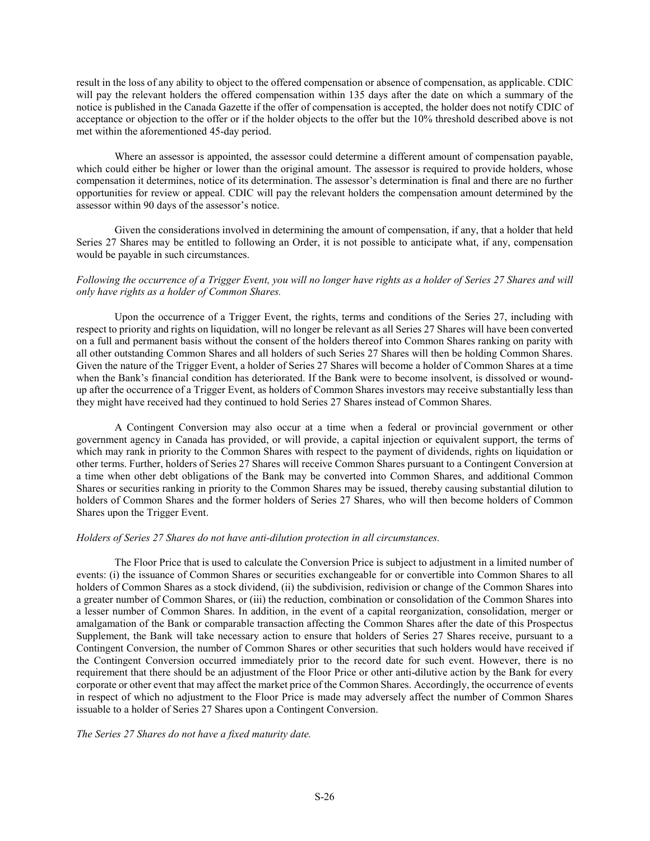result in the loss of any ability to object to the offered compensation or absence of compensation, as applicable. CDIC will pay the relevant holders the offered compensation within 135 days after the date on which a summary of the notice is published in the Canada Gazette if the offer of compensation is accepted, the holder does not notify CDIC of acceptance or objection to the offer or if the holder objects to the offer but the 10% threshold described above is not met within the aforementioned 45-day period.

Where an assessor is appointed, the assessor could determine a different amount of compensation payable, which could either be higher or lower than the original amount. The assessor is required to provide holders, whose compensation it determines, notice of its determination. The assessor's determination is final and there are no further opportunities for review or appeal. CDIC will pay the relevant holders the compensation amount determined by the assessor within 90 days of the assessor's notice.

Given the considerations involved in determining the amount of compensation, if any, that a holder that held Series 27 Shares may be entitled to following an Order, it is not possible to anticipate what, if any, compensation would be payable in such circumstances.

# *Following the occurrence of a Trigger Event, you will no longer have rights as a holder of Series 27 Shares and will only have rights as a holder of Common Shares.*

Upon the occurrence of a Trigger Event, the rights, terms and conditions of the Series 27, including with respect to priority and rights on liquidation, will no longer be relevant as all Series 27 Shares will have been converted on a full and permanent basis without the consent of the holders thereof into Common Shares ranking on parity with all other outstanding Common Shares and all holders of such Series 27 Shares will then be holding Common Shares. Given the nature of the Trigger Event, a holder of Series 27 Shares will become a holder of Common Shares at a time when the Bank's financial condition has deteriorated. If the Bank were to become insolvent, is dissolved or woundup after the occurrence of a Trigger Event, as holders of Common Shares investors may receive substantially less than they might have received had they continued to hold Series 27 Shares instead of Common Shares.

A Contingent Conversion may also occur at a time when a federal or provincial government or other government agency in Canada has provided, or will provide, a capital injection or equivalent support, the terms of which may rank in priority to the Common Shares with respect to the payment of dividends, rights on liquidation or other terms. Further, holders of Series 27 Shares will receive Common Shares pursuant to a Contingent Conversion at a time when other debt obligations of the Bank may be converted into Common Shares, and additional Common Shares or securities ranking in priority to the Common Shares may be issued, thereby causing substantial dilution to holders of Common Shares and the former holders of Series 27 Shares, who will then become holders of Common Shares upon the Trigger Event.

#### *Holders of Series 27 Shares do not have anti-dilution protection in all circumstances.*

The Floor Price that is used to calculate the Conversion Price is subject to adjustment in a limited number of events: (i) the issuance of Common Shares or securities exchangeable for or convertible into Common Shares to all holders of Common Shares as a stock dividend, (ii) the subdivision, redivision or change of the Common Shares into a greater number of Common Shares, or (iii) the reduction, combination or consolidation of the Common Shares into a lesser number of Common Shares. In addition, in the event of a capital reorganization, consolidation, merger or amalgamation of the Bank or comparable transaction affecting the Common Shares after the date of this Prospectus Supplement, the Bank will take necessary action to ensure that holders of Series 27 Shares receive, pursuant to a Contingent Conversion, the number of Common Shares or other securities that such holders would have received if the Contingent Conversion occurred immediately prior to the record date for such event. However, there is no requirement that there should be an adjustment of the Floor Price or other anti-dilutive action by the Bank for every corporate or other event that may affect the market price of the Common Shares. Accordingly, the occurrence of events in respect of which no adjustment to the Floor Price is made may adversely affect the number of Common Shares issuable to a holder of Series 27 Shares upon a Contingent Conversion.

*The Series 27 Shares do not have a fixed maturity date.*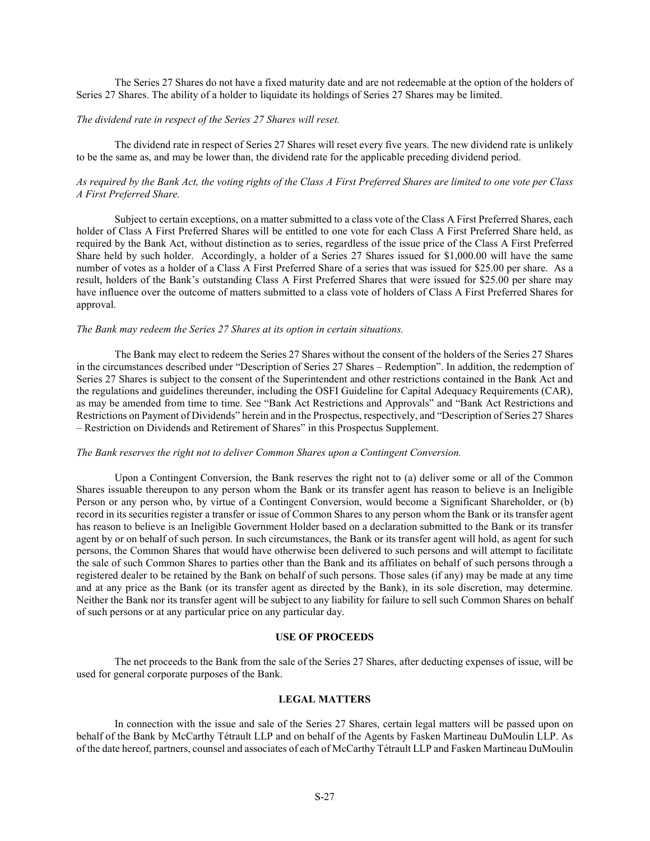The Series 27 Shares do not have a fixed maturity date and are not redeemable at the option of the holders of Series 27 Shares. The ability of a holder to liquidate its holdings of Series 27 Shares may be limited.

#### *The dividend rate in respect of the Series 27 Shares will reset.*

The dividend rate in respect of Series 27 Shares will reset every five years. The new dividend rate is unlikely to be the same as, and may be lower than, the dividend rate for the applicable preceding dividend period.

# *As required by the Bank Act, the voting rights of the Class A First Preferred Shares are limited to one vote per Class A First Preferred Share.*

Subject to certain exceptions, on a matter submitted to a class vote of the Class A First Preferred Shares, each holder of Class A First Preferred Shares will be entitled to one vote for each Class A First Preferred Share held, as required by the Bank Act, without distinction as to series, regardless of the issue price of the Class A First Preferred Share held by such holder. Accordingly, a holder of a Series 27 Shares issued for \$1,000.00 will have the same number of votes as a holder of a Class A First Preferred Share of a series that was issued for \$25.00 per share. As a result, holders of the Bank's outstanding Class A First Preferred Shares that were issued for \$25.00 per share may have influence over the outcome of matters submitted to a class vote of holders of Class A First Preferred Shares for approval.

#### *The Bank may redeem the Series 27 Shares at its option in certain situations.*

The Bank may elect to redeem the Series 27 Shares without the consent of the holders of the Series 27 Shares in the circumstances described under "Description of Series 27 Shares – Redemption". In addition, the redemption of Series 27 Shares is subject to the consent of the Superintendent and other restrictions contained in the Bank Act and the regulations and guidelines thereunder, including the OSFI Guideline for Capital Adequacy Requirements (CAR), as may be amended from time to time. See "Bank Act Restrictions and Approvals" and "Bank Act Restrictions and Restrictions on Payment of Dividends" herein and in the Prospectus, respectively, and "Description of Series 27 Shares – Restriction on Dividends and Retirement of Shares" in this Prospectus Supplement.

#### *The Bank reserves the right not to deliver Common Shares upon a Contingent Conversion.*

Upon a Contingent Conversion, the Bank reserves the right not to (a) deliver some or all of the Common Shares issuable thereupon to any person whom the Bank or its transfer agent has reason to believe is an Ineligible Person or any person who, by virtue of a Contingent Conversion, would become a Significant Shareholder, or (b) record in its securities register a transfer or issue of Common Shares to any person whom the Bank or its transfer agent has reason to believe is an Ineligible Government Holder based on a declaration submitted to the Bank or its transfer agent by or on behalf of such person. In such circumstances, the Bank or its transfer agent will hold, as agent for such persons, the Common Shares that would have otherwise been delivered to such persons and will attempt to facilitate the sale of such Common Shares to parties other than the Bank and its affiliates on behalf of such persons through a registered dealer to be retained by the Bank on behalf of such persons. Those sales (if any) may be made at any time and at any price as the Bank (or its transfer agent as directed by the Bank), in its sole discretion, may determine. Neither the Bank nor its transfer agent will be subject to any liability for failure to sell such Common Shares on behalf of such persons or at any particular price on any particular day.

#### **USE OF PROCEEDS**

<span id="page-26-0"></span>The net proceeds to the Bank from the sale of the Series 27 Shares, after deducting expenses of issue, will be used for general corporate purposes of the Bank.

## **LEGAL MATTERS**

<span id="page-26-1"></span>In connection with the issue and sale of the Series 27 Shares, certain legal matters will be passed upon on behalf of the Bank by McCarthy Tétrault LLP and on behalf of the Agents by Fasken Martineau DuMoulin LLP. As of the date hereof, partners, counsel and associates of each of McCarthy Tétrault LLP and Fasken Martineau DuMoulin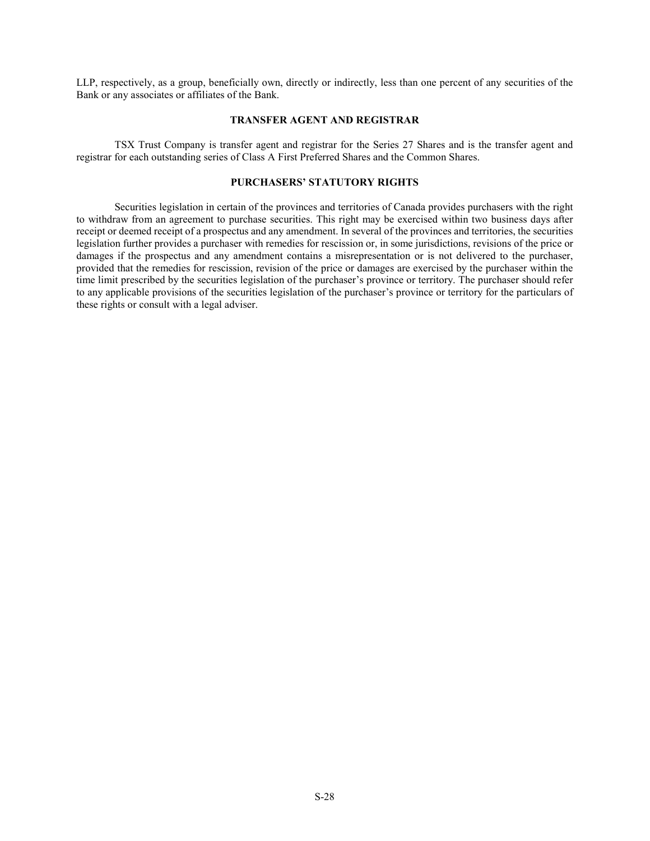LLP, respectively, as a group, beneficially own, directly or indirectly, less than one percent of any securities of the Bank or any associates or affiliates of the Bank.

### **TRANSFER AGENT AND REGISTRAR**

<span id="page-27-0"></span>TSX Trust Company is transfer agent and registrar for the Series 27 Shares and is the transfer agent and registrar for each outstanding series of Class A First Preferred Shares and the Common Shares.

# **PURCHASERS' STATUTORY RIGHTS**

<span id="page-27-1"></span>Securities legislation in certain of the provinces and territories of Canada provides purchasers with the right to withdraw from an agreement to purchase securities. This right may be exercised within two business days after receipt or deemed receipt of a prospectus and any amendment. In several of the provinces and territories, the securities legislation further provides a purchaser with remedies for rescission or, in some jurisdictions, revisions of the price or damages if the prospectus and any amendment contains a misrepresentation or is not delivered to the purchaser, provided that the remedies for rescission, revision of the price or damages are exercised by the purchaser within the time limit prescribed by the securities legislation of the purchaser's province or territory. The purchaser should refer to any applicable provisions of the securities legislation of the purchaser's province or territory for the particulars of these rights or consult with a legal adviser.